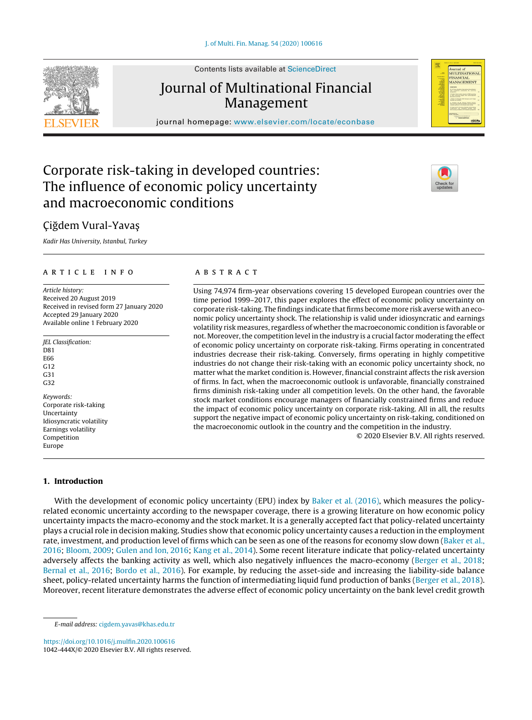Contents lists available at [ScienceDirect](http://www.sciencedirect.com/science/journal/1042444X)

# Journal of Multinational Financial

Management journal homepage: [www.elsevier.com/locate/econbase](http://www.elsevier.com/locate/econbase)

# Corporate risk-taking in developed countries: The influence of economic policy uncertainty and macroeconomic conditions

# Ciğdem Vural-Yavaş

Kadir Has University, Istanbul, Turkey

# ARTICLE INFO

Article history: Received 20 August 2019 Received in revised form 27 January 2020 Accepted 29 January 2020 Available online 1 February 2020

- JEL Classification: D81 E66 G12 G31 G32 Keywords: Corporate risk-taking Uncertainty Idiosyncratic volatility
- Earnings volatility Competition Europe

# A B S T R A C T

Using 74,974 firm-year observations covering 15 developed European countries over the time period 1999–2017, this paper explores the effect of economic policy uncertainty on corporate risk-taking. The findings indicate that firms become more risk averse with an economic policy uncertainty shock. The relationship is valid under idiosyncratic and earnings volatility risk measures, regardless of whether the macroeconomic condition is favorable or not. Moreover, the competition level in the industry is a crucial factor moderating the effect of economic policy uncertainty on corporate risk-taking. Firms operating in concentrated industries decrease their risk-taking. Conversely, firms operating in highly competitive industries do not change their risk-taking with an economic policy uncertainty shock, no matter what the market condition is. However, financial constraint affects the risk aversion of firms. In fact, when the macroeconomic outlook is unfavorable, financially constrained firms diminish risk-taking under all competition levels. On the other hand, the favorable stock market conditions encourage managers of financially constrained firms and reduce the impact of economic policy uncertainty on corporate risk-taking. All in all, the results support the negative impact of economic policy uncertainty on risk-taking, conditioned on the macroeconomic outlook in the country and the competition in the industry.

© 2020 Elsevier B.V. All rights reserved.

# **1. Introduction**

With the development of economic policy uncertainty (EPU) index by [Baker](#page-19-0) et [al.](#page-19-0) [\(2016\),](#page-19-0) which measures the policyrelated economic uncertainty according to the newspaper coverage, there is a growing literature on how economic policy uncertainty impacts the macro-economy and the stock market. It is a generally accepted fact that policy-related uncertainty plays a crucial role in decision making. Studies show that economic policy uncertainty causes a reduction in the employment rate, investment, and production level of firms which can be seen as one of the reasons for economy slow down ([Baker](#page-19-0) et [al.,](#page-19-0) [2016;](#page-19-0) [Bloom,](#page-19-0) [2009;](#page-19-0) [Gulen](#page-20-0) [and](#page-20-0) [Ion,](#page-20-0) [2016;](#page-20-0) [Kang](#page-20-0) et [al.,](#page-20-0) [2014\).](#page-20-0) Some recent literature indicate that policy-related uncertainty adversely affects the banking activity as well, which also negatively influences the macro-economy [\(Berger](#page-19-0) et [al.,](#page-19-0) [2018;](#page-19-0) [Bernal](#page-19-0) et [al.,](#page-19-0) [2016;](#page-19-0) [Bordo](#page-19-0) et [al.,](#page-19-0) [2016\).](#page-19-0) For example, by reducing the asset-side and increasing the liability-side balance sheet, policy-related uncertainty harms the function of intermediating liquid fund production of banks [\(Berger](#page-19-0) et [al.,](#page-19-0) [2018\).](#page-19-0) Moreover, recent literature demonstrates the adverse effect of economic policy uncertainty on the bank level credit growth

<https://doi.org/10.1016/j.mulfin.2020.100616> 1042-444X/© 2020 Elsevier B.V. All rights reserved.



Journal of<br>MULTINATIONAI FIRANCIAL<br>MANAGEMENT

E-mail address: [cigdem.yavas@khas.edu.tr](mailto:cigdem.yavas@khas.edu.tr)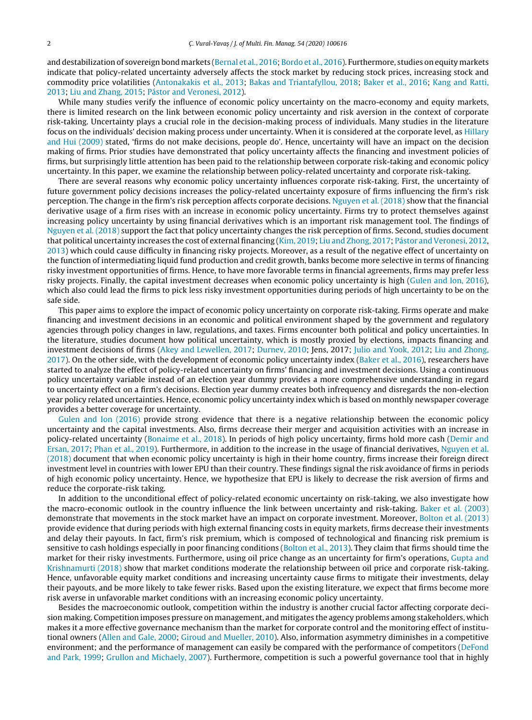and destabilization of sovereign bond markets [\(Bernal](#page-19-0) et [al.,](#page-19-0) [2016;](#page-19-0) [Bordo](#page-19-0) et [al.,](#page-19-0) [2016\).](#page-19-0) Furthermore, studies on equity markets indicate that policy-related uncertainty adversely affects the stock market by reducing stock prices, increasing stock and commodity price volatilities ([Antonakakis](#page-19-0) et [al.,](#page-19-0) [2013;](#page-19-0) [Bakas](#page-19-0) [and](#page-19-0) [Triantafyllou,](#page-19-0) [2018;](#page-19-0) [Baker](#page-19-0) et [al.,](#page-19-0) [2016;](#page-19-0) [Kang](#page-20-0) [and](#page-20-0) [Ratti,](#page-20-0) [2013;](#page-20-0) [Liu](#page-20-0) [and](#page-20-0) [Zhang,](#page-20-0) [2015;](#page-20-0) [Pástor](#page-20-0) [and](#page-20-0) [Veronesi,](#page-20-0) [2012\).](#page-20-0)

While many studies verify the influence of economic policy uncertainty on the macro-economy and equity markets, there is limited research on the link between economic policy uncertainty and risk aversion in the context of corporate risk-taking. Uncertainty plays a crucial role in the decision-making process of individuals. Many studies in the literature focus on the individuals' decision making process under uncertainty. When it is considered at the corporate level, as [Hillary](#page-20-0) [and](#page-20-0) [Hui](#page-20-0) [\(2009\)](#page-20-0) stated, 'firms do not make decisions, people do'. Hence, uncertainty will have an impact on the decision making of firms. Prior studies have demonstrated that policy uncertainty affects the financing and investment policies of firms, but surprisingly little attention has been paid to the relationship between corporate risk-taking and economic policy uncertainty. In this paper, we examine the relationship between policy-related uncertainty and corporate risk-taking.

There are several reasons why economic policy uncertainty influences corporate risk-taking. First, the uncertainty of future government policy decisions increases the policy-related uncertainty exposure of firms influencing the firm's risk perception. The change in the firm's risk perception affects corporate decisions. [Nguyen](#page-20-0) et [al.](#page-20-0) [\(2018\)](#page-20-0) show that the financial derivative usage of a firm rises with an increase in economic policy uncertainty. Firms try to protect themselves against increasing policy uncertainty by using financial derivatives which is an important risk management tool. The findings of [Nguyen](#page-20-0) et [al.](#page-20-0) [\(2018\)](#page-20-0) support the fact that policy uncertainty changes the risk perception of firms. Second, studies document that political uncertainty increases the cost of external financing [\(Kim,](#page-20-0) [2019;](#page-20-0) [Liu](#page-20-0) [and](#page-20-0) [Zhong,](#page-20-0) [2017;](#page-20-0) [Pástor](#page-20-0) [and](#page-20-0) [Veronesi,](#page-20-0) [2012,](#page-20-0) [2013\)](#page-20-0) which could cause difficulty in financing risky projects. Moreover, as a result of the negative effect of uncertainty on the function of intermediating liquid fund production and credit growth, banks become more selective in terms of financing risky investment opportunities of firms. Hence, to have more favorable terms in financial agreements, firms may prefer less risky projects. Finally, the capital investment decreases when economic policy uncertainty is high [\(Gulen](#page-20-0) [and](#page-20-0) [Ion,](#page-20-0) [2016\),](#page-20-0) which also could lead the firms to pick less risky investment opportunities during periods of high uncertainty to be on the safe side.

This paper aims to explore the impact of economic policy uncertainty on corporate risk-taking. Firms operate and make financing and investment decisions in an economic and political environment shaped by the government and regulatory agencies through policy changes in law, regulations, and taxes. Firms encounter both political and policy uncertainties. In the literature, studies document how political uncertainty, which is mostly proxied by elections, impacts financing and investment decisions of firms ([Akey](#page-19-0) [and](#page-19-0) [Lewellen,](#page-19-0) [2017;](#page-19-0) [Durnev,](#page-19-0) [2010;](#page-19-0) Jens, 2017; [Julio](#page-20-0) [and](#page-20-0) [Yook,](#page-20-0) [2012;](#page-20-0) [Liu](#page-20-0) [and](#page-20-0) [Zhong,](#page-20-0) [2017\).](#page-20-0) On the other side, with the development of economic policy uncertainty index ([Baker](#page-19-0) et [al.,](#page-19-0) [2016\),](#page-19-0) researchers have started to analyze the effect of policy-related uncertainty on firms' financing and investment decisions. Using a continuous policy uncertainty variable instead of an election year dummy provides a more comprehensive understanding in regard to uncertainty effect on a firm's decisions. Election year dummy creates both infrequency and disregards the non-election year policy related uncertainties. Hence, economic policy uncertainty index which is based on monthly newspaper coverage provides a better coverage for uncertainty.

[Gulen](#page-20-0) [and](#page-20-0) [Ion](#page-20-0) [\(2016\)](#page-20-0) provide strong evidence that there is a negative relationship between the economic policy uncertainty and the capital investments. Also, firms decrease their merger and acquisition activities with an increase in policy-related uncertainty [\(Bonaime](#page-19-0) et [al.,](#page-19-0) [2018\).](#page-19-0) In periods of high policy uncertainty, firms hold more cash ([Demir](#page-19-0) [and](#page-19-0) [Ersan,](#page-19-0) [2017;](#page-19-0) [Phan](#page-20-0) et [al.,](#page-20-0) [2019\).](#page-20-0) Furthermore, in addition to the increase in the usage of financial derivatives, [Nguyen](#page-20-0) et [al.](#page-20-0) [\(2018\)](#page-20-0) document that when economic policy uncertainty is high in their home country, firms increase their foreign direct investment level in countries with lower EPU than their country. These findings signal the risk avoidance of firms in periods of high economic policy uncertainty. Hence, we hypothesize that EPU is likely to decrease the risk aversion of firms and reduce the corporate-risk taking.

In addition to the unconditional effect of policy-related economic uncertainty on risk-taking, we also investigate how the macro-economic outlook in the country influence the link between uncertainty and risk-taking. [Baker](#page-19-0) et [al.](#page-19-0) [\(2003\)](#page-19-0) demonstrate that movements in the stock market have an impact on corporate investment. Moreover, [Bolton](#page-19-0) et [al.](#page-19-0) [\(2013\)](#page-19-0) provide evidence that during periods with high external financing costs in equity markets, firms decrease their investments and delay their payouts. In fact, firm's risk premium, which is composed of technological and financing risk premium is sensitive to cash holdings especially in poor financing conditions ([Bolton](#page-19-0) et [al.,](#page-19-0) [2013\).](#page-19-0) They claim that firms should time the market for their risky investments. Furthermore, using oil price change as an uncertainty for firm's operations, [Gupta](#page-20-0) [and](#page-20-0) [Krishnamurti](#page-20-0) [\(2018\)](#page-20-0) show that market conditions moderate the relationship between oil price and corporate risk-taking. Hence, unfavorable equity market conditions and increasing uncertainty cause firms to mitigate their investments, delay their payouts, and be more likely to take fewer risks. Based upon the existing literature, we expect that firms become more risk averse in unfavorable market conditions with an increasing economic policy uncertainty.

Besides the macroeconomic outlook, competition within the industry is another crucial factor affecting corporate decision making. Competition imposes pressure on management, and mitigates the agency problems among stakeholders, which makes it a more effective governance mechanism than the market for corporate control and the monitoring effect of institutional owners [\(Allen](#page-19-0) [and](#page-19-0) [Gale,](#page-19-0) [2000;](#page-19-0) [Giroud](#page-19-0) [and](#page-19-0) [Mueller,](#page-19-0) [2010\).](#page-19-0) Also, information asymmetry diminishes in a competitive environment; and the performance of management can easily be compared with the performance of competitors [\(DeFond](#page-19-0) [and](#page-19-0) [Park,](#page-19-0) [1999;](#page-19-0) [Grullon](#page-19-0) [and](#page-19-0) [Michaely,](#page-19-0) [2007\).](#page-19-0) Furthermore, competition is such a powerful governance tool that in highly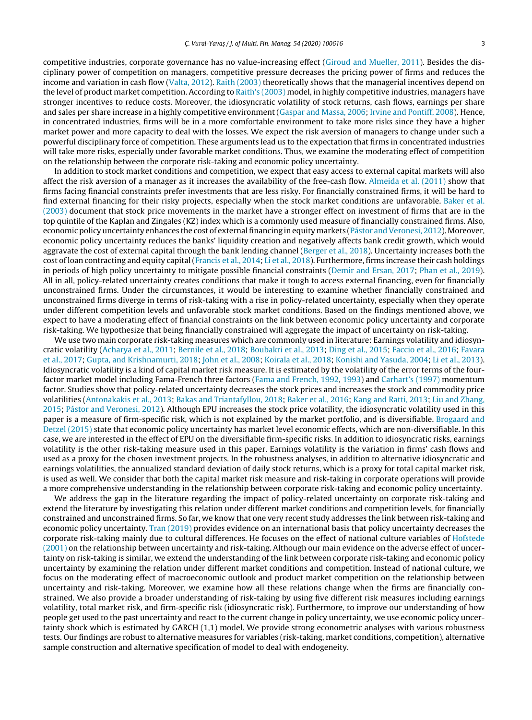competitive industries, corporate governance has no value-increasing effect [\(Giroud](#page-19-0) [and](#page-19-0) [Mueller,](#page-19-0) [2011\).](#page-19-0) Besides the disciplinary power of competition on managers, competitive pressure decreases the pricing power of firms and reduces the income and variation in cash flow ([Valta,](#page-20-0) [2012\).](#page-20-0) [Raith](#page-20-0) [\(2003\)](#page-20-0) theoretically shows that the managerial incentives depend on the level of product market competition. According to [Raith's](#page-20-0) [\(2003\)](#page-20-0) model, in highly competitive industries, managers have stronger incentives to reduce costs. Moreover, the idiosyncratic volatility of stock returns, cash flows, earnings per share and sales per share increase in a highly competitive environment ([Gaspar](#page-19-0) [and](#page-19-0) [Massa,](#page-19-0) [2006;](#page-19-0) [Irvine](#page-20-0) [and](#page-20-0) [Pontiff,](#page-20-0) [2008\).](#page-20-0) Hence, in concentrated industries, firms will be in a more comfortable environment to take more risks since they have a higher market power and more capacity to deal with the losses. We expect the risk aversion of managers to change under such a powerful disciplinary force of competition. These arguments lead us to the expectation that firms in concentrated industries will take more risks, especially under favorable market conditions. Thus, we examine the moderating effect of competition on the relationship between the corporate risk-taking and economic policy uncertainty.

In addition to stock market conditions and competition, we expect that easy access to external capital markets will also affect the risk aversion of a manager as it increases the availability of the free-cash flow. [Almeida](#page-19-0) et [al.](#page-19-0) [\(2011\)](#page-19-0) show that firms facing financial constraints prefer investments that are less risky. For financially constrained firms, it will be hard to find external financing for their risky projects, especially when the stock market conditions are unfavorable. [Baker](#page-19-0) et [al.](#page-19-0) [\(2003\)](#page-19-0) document that stock price movements in the market have a stronger effect on investment of firms that are in the top quintile of the Kaplan and Zingales (KZ) index which is a commonly used measure of financially constrained firms. Also, economic policy uncertainty enhances the cost of external financing in equity markets [\(Pástor](#page-20-0) and Veronesi, [2012\).](#page-20-0) Moreover, economic policy uncertainty reduces the banks' liquidity creation and negatively affects bank credit growth, which would aggravate the cost of external capital through the bank lending channel ([Berger](#page-19-0) et [al.,](#page-19-0) [2018\).](#page-19-0) Uncertainty increases both the cost of loan contracting and equity capital[\(Francis](#page-19-0) et [al.,](#page-19-0) [2014;](#page-19-0) [Li](#page-20-0) et [al.,](#page-20-0) [2018\).](#page-20-0) Furthermore, firms increase their cash holdings in periods of high policy uncertainty to mitigate possible financial constraints [\(Demir](#page-19-0) [and](#page-19-0) [Ersan,](#page-19-0) [2017;](#page-19-0) [Phan](#page-20-0) et [al.,](#page-20-0) [2019\).](#page-20-0) All in all, policy-related uncertainty creates conditions that make it tough to access external financing, even for financially unconstrained firms. Under the circumstances, it would be interesting to examine whether financially constrained and unconstrained firms diverge in terms of risk-taking with a rise in policy-related uncertainty, especially when they operate under different competition levels and unfavorable stock market conditions. Based on the findings mentioned above, we expect to have a moderating effect of financial constraints on the link between economic policy uncertainty and corporate risk-taking. We hypothesize that being financially constrained will aggregate the impact of uncertainty on risk-taking.

We use two main corporate risk-taking measures which are commonly used in literature: Earnings volatility and idiosyncratic volatility ([Acharya](#page-19-0) et [al.,](#page-19-0) [2011;](#page-19-0) [Bernile](#page-19-0) et [al.,](#page-19-0) [2018;](#page-19-0) [Boubakri](#page-19-0) et [al.,](#page-19-0) [2013;](#page-19-0) [Ding](#page-19-0) et [al.,](#page-19-0) [2015;](#page-19-0) [Faccio](#page-19-0) et [al.,](#page-19-0) [2016;](#page-19-0) [Favara](#page-19-0) et [al.,](#page-19-0) [2017;](#page-19-0) [Gupta,](#page-20-0) [and](#page-20-0) [Krishnamurti,](#page-20-0) [2018;](#page-20-0) [John](#page-20-0) et [al.,](#page-20-0) [2008;](#page-20-0) [Koirala](#page-20-0) et [al.,](#page-20-0) [2018;](#page-20-0) [Konishi](#page-20-0) [and](#page-20-0) [Yasuda,](#page-20-0) [2004;](#page-20-0) [Li](#page-20-0) et [al.,](#page-20-0) [2013\).](#page-20-0) Idiosyncratic volatility is a kind of capital market risk measure. It is estimated by the volatility of the error terms of the fourfactor market model including Fama-French three factors ([Fama](#page-19-0) [and](#page-19-0) [French,](#page-19-0) [1992,](#page-19-0) [1993\)](#page-19-0) and [Carhart's](#page-19-0) [\(1997\)](#page-19-0) momentum factor. Studies show that policy-related uncertainty decreases the stock prices and increases the stock and commodity price volatilities [\(Antonakakis](#page-19-0) et [al.,](#page-19-0) [2013;](#page-19-0) [Bakas](#page-19-0) [and](#page-19-0) [Triantafyllou,](#page-19-0) [2018;](#page-19-0) [Baker](#page-19-0) et [al.,](#page-19-0) [2016;](#page-19-0) [Kang](#page-20-0) [and](#page-20-0) [Ratti,](#page-20-0) [2013;](#page-20-0) [Liu](#page-20-0) [and](#page-20-0) [Zhang,](#page-20-0) [2015;](#page-20-0) [Pástor](#page-20-0) [and](#page-20-0) [Veronesi,](#page-20-0) [2012\).](#page-20-0) Although EPU increases the stock price volatility, the idiosyncratic volatility used in this paper is a measure of firm-specific risk, which is not explained by the market portfolio, and is diversifiable. [Brogaard](#page-19-0) [and](#page-19-0) [Detzel](#page-19-0) [\(2015\)](#page-19-0) state that economic policy uncertainty has market level economic effects, which are non-diversifiable. In this case, we are interested in the effect of EPU on the diversifiable firm-specific risks. In addition to idiosyncratic risks, earnings volatility is the other risk-taking measure used in this paper. Earnings volatility is the variation in firms' cash flows and used as a proxy for the chosen investment projects. In the robustness analyses, in addition to alternative idiosyncratic and earnings volatilities, the annualized standard deviation of daily stock returns, which is a proxy for total capital market risk, is used as well. We consider that both the capital market risk measure and risk-taking in corporate operations will provide a more comprehensive understanding in the relationship between corporate risk-taking and economic policy uncertainty.

We address the gap in the literature regarding the impact of policy-related uncertainty on corporate risk-taking and extend the literature by investigating this relation under different market conditions and competition levels, for financially constrained and unconstrained firms. So far, we know that one very recent study addresses the link between risk-taking and economic policy uncertainty. [Tran](#page-20-0) [\(2019\)](#page-20-0) provides evidence on an international basis that policy uncertainty decreases the corporate risk-taking mainly due to cultural differences. He focuses on the effect of national culture variables of [Hofstede](#page-20-0) [\(2001\)](#page-20-0) on the relationship between uncertainty and risk-taking. Although our main evidence on the adverse effect of uncertainty on risk-taking is similar, we extend the understanding of the link between corporate risk-taking and economic policy uncertainty by examining the relation under different market conditions and competition. Instead of national culture, we focus on the moderating effect of macroeconomic outlook and product market competition on the relationship between uncertainty and risk-taking. Moreover, we examine how all these relations change when the firms are financially constrained. We also provide a broader understanding of risk-taking by using five different risk measures including earnings volatility, total market risk, and firm-specific risk (idiosyncratic risk). Furthermore, to improve our understanding of how people get used to the past uncertainty and react to the current change in policy uncertainty, we use economic policy uncertainty shock which is estimated by GARCH (1,1) model. We provide strong econometric analyses with various robustness tests. Our findings are robust to alternative measures for variables (risk-taking, market conditions, competition), alternative sample construction and alternative specification of model to deal with endogeneity.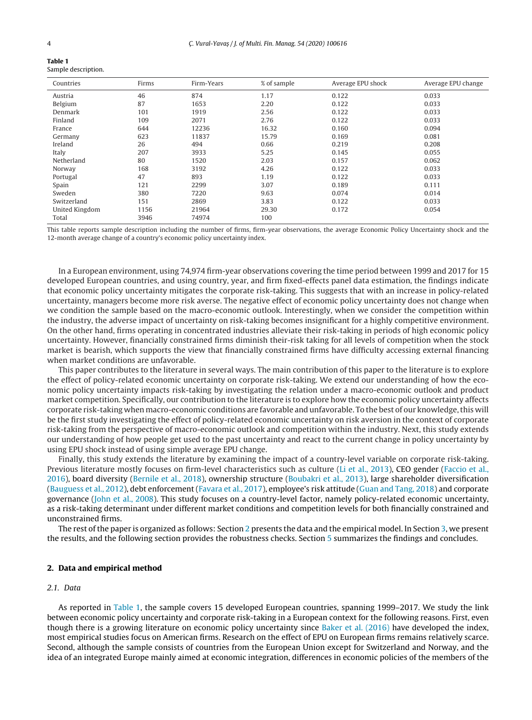<span id="page-3-0"></span>

**Table 1**

| TADIC 1 |                     |
|---------|---------------------|
|         | Sample description. |

| Countries      | Firms | Firm-Years | % of sample | Average EPU shock | Average EPU change |
|----------------|-------|------------|-------------|-------------------|--------------------|
| Austria        | 46    | 874        | 1.17        | 0.122             | 0.033              |
| Belgium        | 87    | 1653       | 2.20        | 0.122             | 0.033              |
| Denmark        | 101   | 1919       | 2.56        | 0.122             | 0.033              |
| Finland        | 109   | 2071       | 2.76        | 0.122             | 0.033              |
| France         | 644   | 12236      | 16.32       | 0.160             | 0.094              |
| Germany        | 623   | 11837      | 15.79       | 0.169             | 0.081              |
| Ireland        | 26    | 494        | 0.66        | 0.219             | 0.208              |
| Italy          | 207   | 3933       | 5.25        | 0.145             | 0.055              |
| Netherland     | 80    | 1520       | 2.03        | 0.157             | 0.062              |
| Norway         | 168   | 3192       | 4.26        | 0.122             | 0.033              |
| Portugal       | 47    | 893        | 1.19        | 0.122             | 0.033              |
| Spain          | 121   | 2299       | 3.07        | 0.189             | 0.111              |
| Sweden         | 380   | 7220       | 9.63        | 0.074             | 0.014              |
| Switzerland    | 151   | 2869       | 3.83        | 0.122             | 0.033              |
| United Kingdom | 1156  | 21964      | 29.30       | 0.172             | 0.054              |
| Total          | 3946  | 74974      | 100         |                   |                    |

This table reports sample description including the number of firms, firm-year observations, the average Economic Policy Uncertainty shock and the 12-month average change of a country's economic policy uncertainty index.

In a European environment, using 74,974 firm-year observations covering the time period between 1999 and 2017 for 15 developed European countries, and using country, year, and firm fixed-effects panel data estimation, the findings indicate that economic policy uncertainty mitigates the corporate risk-taking. This suggests that with an increase in policy-related uncertainty, managers become more risk averse. The negative effect of economic policy uncertainty does not change when we condition the sample based on the macro-economic outlook. Interestingly, when we consider the competition within the industry, the adverse impact of uncertainty on risk-taking becomes insignificant for a highly competitive environment. On the other hand, firms operating in concentrated industries alleviate their risk-taking in periods of high economic policy uncertainty. However, financially constrained firms diminish their-risk taking for all levels of competition when the stock market is bearish, which supports the view that financially constrained firms have difficulty accessing external financing when market conditions are unfavorable.

This paper contributes to the literature in several ways. The main contribution of this paper to the literature is to explore the effect of policy-related economic uncertainty on corporate risk-taking. We extend our understanding of how the economic policy uncertainty impacts risk-taking by investigating the relation under a macro-economic outlook and product market competition. Specifically, our contribution to the literature is to explore how the economic policy uncertainty affects corporate risk-taking when macro-economic conditions are favorable and unfavorable. To the best of our knowledge,this will be the first study investigating the effect of policy-related economic uncertainty on risk aversion in the context of corporate risk-taking from the perspective of macro-economic outlook and competition within the industry. Next, this study extends our understanding of how people get used to the past uncertainty and react to the current change in policy uncertainty by using EPU shock instead of using simple average EPU change.

Finally, this study extends the literature by examining the impact of a country-level variable on corporate risk-taking. Previous literature mostly focuses on firm-level characteristics such as culture [\(Li](#page-20-0) et [al.,](#page-20-0) [2013\),](#page-20-0) CEO gender [\(Faccio](#page-19-0) et [al.,](#page-19-0) [2016\),](#page-19-0) board diversity ([Bernile](#page-19-0) et [al.,](#page-19-0) [2018\),](#page-19-0) ownership structure ([Boubakri](#page-19-0) et [al.,](#page-19-0) [2013\),](#page-19-0) large shareholder diversification [\(Bauguess](#page-19-0) et [al.,](#page-19-0) [2012\),](#page-19-0) debt enforcement [\(Favara](#page-19-0) et [al.,](#page-19-0) [2017\),](#page-19-0) employee's risk attitude ([Guan](#page-20-0) [and](#page-20-0) [Tang,](#page-20-0) [2018\)](#page-20-0) and corporate governance [\(John](#page-20-0) et [al.,](#page-20-0) [2008\).](#page-20-0) This study focuses on a country-level factor, namely policy-related economic uncertainty, as a risk-taking determinant under different market conditions and competition levels for both financially constrained and unconstrained firms.

The rest of the paper is organized as follows: Section 2 presents the data and the empirical model. In Section [3,](#page-8-0) we present the results, and the following section provides the robustness checks. Section [5](#page-16-0) summarizes the findings and concludes.

# **2. Data and empirical method**

# 2.1. Data

As reported in Table 1, the sample covers 15 developed European countries, spanning 1999–2017. We study the link between economic policy uncertainty and corporate risk-taking in a European context for the following reasons. First, even though there is a growing literature on economic policy uncertainty since [Baker](#page-19-0) et [al.](#page-19-0) [\(2016\)](#page-19-0) have developed the index, most empirical studies focus on American firms. Research on the effect of EPU on European firms remains relatively scarce. Second, although the sample consists of countries from the European Union except for Switzerland and Norway, and the idea of an integrated Europe mainly aimed at economic integration, differences in economic policies of the members of the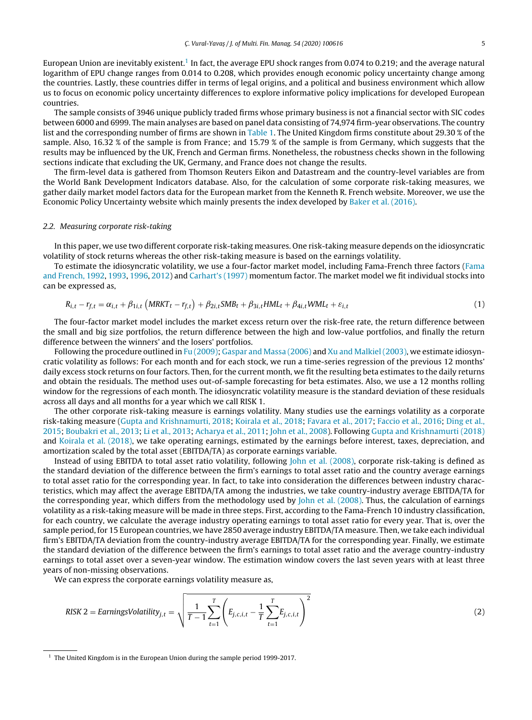<span id="page-4-0"></span>European Union are inevitably existent.<sup>1</sup> In fact, the average EPU shock ranges from 0.074 to 0.219; and the average natural logarithm of EPU change ranges from 0.014 to 0.208, which provides enough economic policy uncertainty change among the countries. Lastly, these countries differ in terms of legal origins, and a political and business environment which allow us to focus on economic policy uncertainty differences to explore informative policy implications for developed European countries.

The sample consists of 3946 unique publicly traded firms whose primary business is not a financial sector with SIC codes between 6000 and 6999. The main analyses are based on panel data consisting of 74,974 firm-year observations. The country list and the corresponding number of firms are shown in [Table](#page-3-0) 1. The United Kingdom firms constitute about 29.30 % of the sample. Also, 16.32 % of the sample is from France; and 15.79 % of the sample is from Germany, which suggests that the results may be influenced by the UK, French and German firms. Nonetheless, the robustness checks shown in the following sections indicate that excluding the UK, Germany, and France does not change the results.

The firm-level data is gathered from Thomson Reuters Eikon and Datastream and the country-level variables are from the World Bank Development Indicators database. Also, for the calculation of some corporate risk-taking measures, we gather daily market model factors data for the European market from the Kenneth R. French website. Moreover, we use the Economic Policy Uncertainty website which mainly presents the index developed by [Baker](#page-19-0) et [al.](#page-19-0) [\(2016\).](#page-19-0)

# 2.2. Measuring corporate risk-taking

In this paper, we use two different corporate risk-taking measures. One risk-taking measure depends on the idiosyncratic volatility of stock returns whereas the other risk-taking measure is based on the earnings volatility.

To estimate the idiosyncratic volatility, we use a four-factor market model, including Fama-French three factors ([Fama](#page-19-0) [and](#page-19-0) [French,](#page-19-0) [1992,](#page-19-0) [1993,](#page-19-0) [1996,](#page-19-0) [2012\)](#page-19-0) and [Carhart's](#page-19-0) [\(1997\)](#page-19-0) momentum factor. The market model we fit individual stocks into can be expressed as,

$$
R_{i,t} - r_{f,t} = \alpha_{i,t} + \beta_{1i,t} \left( MRKT_t - r_{f,t} \right) + \beta_{2i,t} SMB_t + \beta_{3i,t} HML_t + \beta_{4i,t} WML_t + \varepsilon_{i,t}
$$
\n
$$
\tag{1}
$$

The four-factor market model includes the market excess return over the risk-free rate, the return difference between the small and big size portfolios, the return difference between the high and low-value portfolios, and finally the return difference between the winners' and the losers' portfolios.

Following the procedure outlined in [Fu](#page-19-0) [\(2009\);](#page-19-0) [Gaspar](#page-19-0) [and](#page-19-0) [Massa](#page-19-0) [\(2006\)](#page-19-0) and [Xu](#page-20-0) [and](#page-20-0) [Malkiel](#page-20-0) [\(2003\),](#page-20-0) we estimate idiosyncratic volatility as follows: For each month and for each stock, we run a time-series regression of the previous 12 months' daily excess stock returns on four factors. Then, for the current month, we fit the resulting beta estimates to the daily returns and obtain the residuals. The method uses out-of-sample forecasting for beta estimates. Also, we use a 12 months rolling window for the regressions of each month. The idiosyncratic volatility measure is the standard deviation of these residuals across all days and all months for a year which we call RISK 1.

The other corporate risk-taking measure is earnings volatility. Many studies use the earnings volatility as a corporate risk-taking measure ([Gupta](#page-20-0) [and](#page-20-0) [Krishnamurti,](#page-20-0) [2018;](#page-20-0) [Koirala](#page-20-0) et [al.,](#page-20-0) [2018;](#page-20-0) [Favara](#page-19-0) et [al.,](#page-19-0) [2017;](#page-19-0) [Faccio](#page-19-0) et [al.,](#page-19-0) [2016;](#page-19-0) [Ding](#page-19-0) et [al.,](#page-19-0) [2015;](#page-19-0) [Boubakri](#page-19-0) et [al.,](#page-19-0) [2013;](#page-19-0) [Li](#page-20-0) et [al.,](#page-20-0) [2013;](#page-20-0) [Acharya](#page-19-0) et [al.,](#page-19-0) [2011;](#page-19-0) [John](#page-20-0) et [al.,](#page-20-0) [2008\).](#page-20-0) Following [Gupta](#page-20-0) [and](#page-20-0) [Krishnamurti](#page-20-0) [\(2018\)](#page-20-0) and [Koirala](#page-20-0) et [al.](#page-20-0) [\(2018\),](#page-20-0) we take operating earnings, estimated by the earnings before interest, taxes, depreciation, and amortization scaled by the total asset (EBITDA/TA) as corporate earnings variable.

Instead of using EBITDA to total asset ratio volatility, following [John](#page-20-0) et [al.](#page-20-0) [\(2008\),](#page-20-0) corporate risk-taking is defined as the standard deviation of the difference between the firm's earnings to total asset ratio and the country average earnings to total asset ratio for the corresponding year. In fact, to take into consideration the differences between industry characteristics, which may affect the average EBITDA/TA among the industries, we take country-industry average EBITDA/TA for the corresponding year, which differs from the methodology used by [John](#page-20-0) et [al.](#page-20-0) [\(2008\).](#page-20-0) Thus, the calculation of earnings volatility as a risk-taking measure will be made in three steps. First, according to the Fama-French 10 industry classification, for each country, we calculate the average industry operating earnings to total asset ratio for every year. That is, over the sample period, for 15 European countries, we have 2850 average industry EBITDA/TA measure. Then, we take each individual firm's EBITDA/TA deviation from the country-industry average EBITDA/TA for the corresponding year. Finally, we estimate the standard deviation of the difference between the firm's earnings to total asset ratio and the average country-industry earnings to total asset over a seven-year window. The estimation window covers the last seven years with at least three years of non-missing observations.

We can express the corporate earnings volatility measure as,

$$
RISK\ 2 = EarningsVolatility_{j,t} = \sqrt{\frac{1}{T-1} \sum_{t=1}^{T} \left( E_{j,c,i,t} - \frac{1}{T} \sum_{t=1}^{T} E_{j,c,i,t} \right)^2}
$$
(2)

<sup>&</sup>lt;sup>1</sup> The United Kingdom is in the European Union during the sample period 1999-2017.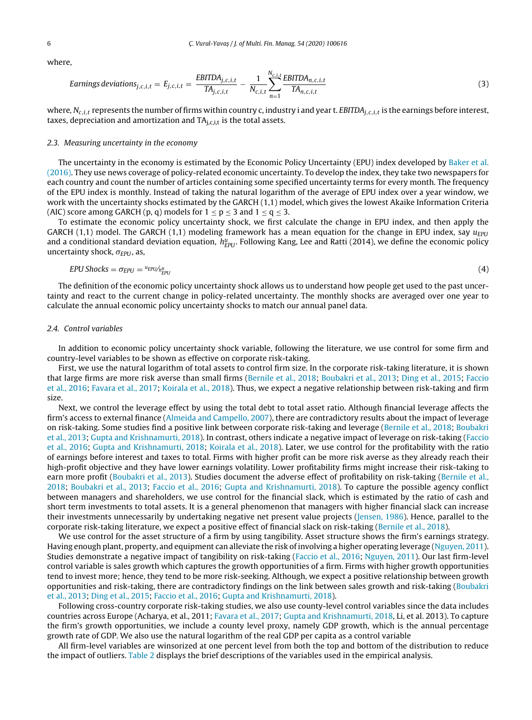where,

Earrings deviations<sub>j,c,i,t</sub> = 
$$
E_{j,c,i,t} = \frac{EBITDA_{j,c,i,t}}{TA_{j,c,i,t}} - \frac{1}{N_{c,i,t}} \sum_{n=1}^{N_{c,i,t}} \frac{EBITDA_{n,c,i,t}}{TA_{n,c,i,t}}
$$
 (3)

where,  $N_{c,i,t}$  represents the number of firms within country c, industry i and year t. EBITDA<sub>i,c,i,t</sub> is the earnings before interest, taxes, depreciation and amortization and  $TA<sub>i,c,i,t</sub>$  is the total assets.

# 2.3. Measuring uncertainty in the economy

The uncertainty in the economy is estimated by the Economic Policy Uncertainty (EPU) index developed by [Baker](#page-19-0) et [al.](#page-19-0) [\(2016\).](#page-19-0) They use news coverage of policy-related economic uncertainty. To develop the index, they take two newspapers for each country and count the number of articles containing some specified uncertainty terms for every month. The frequency of the EPU index is monthly. Instead of taking the natural logarithm of the average of EPU index over a year window, we work with the uncertainty shocks estimated by the GARCH (1,1) model, which gives the lowest Akaike Information Criteria (AIC) score among GARCH (p, q) models for  $1 \le p \le 3$  and  $1 \le q \le 3$ .

To estimate the economic policy uncertainty shock, we first calculate the change in EPU index, and then apply the GARCH (1,1) model. The GARCH (1,1) modeling framework has a mean equation for the change in EPU index, say  $u_{EPU}$ and a conditional standard deviation equation,  $h^u_{EPU}$ . Following Kang, Lee and Ratti (2014), we define the economic policy uncertainty shock,  $\sigma_{EPU}$ , as,

$$
EPU\,Shocks = \sigma_{EPU} = \frac{u_{EPU}}{h_{EPU}^u} \tag{4}
$$

The definition of the economic policy uncertainty shock allows us to understand how people get used to the past uncertainty and react to the current change in policy-related uncertainty. The monthly shocks are averaged over one year to calculate the annual economic policy uncertainty shocks to match our annual panel data.

# 2.4. Control variables

In addition to economic policy uncertainty shock variable, following the literature, we use control for some firm and country-level variables to be shown as effective on corporate risk-taking.

First, we use the natural logarithm of total assets to control firm size. In the corporate risk-taking literature, it is shown that large firms are more risk averse than small firms [\(Bernile](#page-19-0) et [al.,](#page-19-0) [2018;](#page-19-0) [Boubakri](#page-19-0) et [al.,](#page-19-0) [2013;](#page-19-0) [Ding](#page-19-0) et [al.,](#page-19-0) [2015;](#page-19-0) [Faccio](#page-19-0) et [al.,](#page-19-0) [2016;](#page-19-0) [Favara](#page-19-0) et [al.,](#page-19-0) [2017;](#page-19-0) [Koirala](#page-20-0) et [al.,](#page-20-0) [2018\).](#page-20-0) Thus, we expect a negative relationship between risk-taking and firm size.

Next, we control the leverage effect by using the total debt to total asset ratio. Although financial leverage affects the firm's access to external finance ([Almeida](#page-19-0) [and](#page-19-0) [Campello,](#page-19-0) [2007\),](#page-19-0) there are contradictory results about the impact of leverage on risk-taking. Some studies find a positive link between corporate risk-taking and leverage [\(Bernile](#page-19-0) et [al.,](#page-19-0) [2018;](#page-19-0) [Boubakri](#page-19-0) et [al.,](#page-19-0) [2013;](#page-19-0) [Gupta](#page-20-0) [and](#page-20-0) [Krishnamurti,](#page-20-0) [2018\).](#page-20-0) In contrast, others indicate a negative impact of leverage on risk-taking ([Faccio](#page-19-0) et [al.,](#page-19-0) [2016;](#page-19-0) [Gupta](#page-20-0) [and](#page-20-0) [Krishnamurti,](#page-20-0) [2018;](#page-20-0) [Koirala](#page-20-0) et [al.,](#page-20-0) [2018\).](#page-20-0) Later, we use control for the profitability with the ratio of earnings before interest and taxes to total. Firms with higher profit can be more risk averse as they already reach their high-profit objective and they have lower earnings volatility. Lower profitability firms might increase their risk-taking to earn more profit [\(Boubakri](#page-19-0) et [al.,](#page-19-0) [2013\).](#page-19-0) Studies document the adverse effect of profitability on risk-taking [\(Bernile](#page-19-0) et al., [2018;](#page-19-0) [Boubakri](#page-19-0) et [al.,](#page-19-0) [2013;](#page-19-0) [Faccio](#page-19-0) et [al.,](#page-19-0) [2016;](#page-19-0) [Gupta](#page-20-0) [and](#page-20-0) [Krishnamurti,](#page-20-0) [2018\).](#page-20-0) To capture the possible agency conflict between managers and shareholders, we use control for the financial slack, which is estimated by the ratio of cash and short term investments to total assets. It is a general phenomenon that managers with higher financial slack can increase their investments unnecessarily by undertaking negative net present value projects ([Jensen,](#page-20-0) [1986\).](#page-20-0) Hence, parallel to the corporate risk-taking literature, we expect a positive effect of financial slack on risk-taking ([Bernile](#page-19-0) et [al.,](#page-19-0) [2018\).](#page-19-0)

We use control for the asset structure of a firm by using tangibility. Asset structure shows the firm's earnings strategy. Having enough plant, property, and equipment can alleviate the risk of involving a higher operating leverage [\(Nguyen,](#page-20-0) [2011\).](#page-20-0) Studies demonstrate a negative impact of tangibility on risk-taking [\(Faccio](#page-19-0) et [al.,](#page-19-0) [2016;](#page-19-0) [Nguyen,](#page-20-0) [2011\).](#page-20-0) Our last firm-level control variable is sales growth which captures the growth opportunities of a firm. Firms with higher growth opportunities tend to invest more; hence, they tend to be more risk-seeking. Although, we expect a positive relationship between growth opportunities and risk-taking, there are contradictory findings on the link between sales growth and risk-taking [\(Boubakri](#page-19-0) et [al.,](#page-19-0) [2013;](#page-19-0) [Ding](#page-19-0) et [al.,](#page-19-0) [2015;](#page-19-0) [Faccio](#page-19-0) et [al.,](#page-19-0) [2016;](#page-19-0) [Gupta](#page-20-0) [and](#page-20-0) [Krishnamurti,](#page-20-0) [2018\).](#page-20-0)

Following cross-country corporate risk-taking studies, we also use county-level control variables since the data includes countries across Europe (Acharya, et al., 2011; [Favara](#page-19-0) et [al.,](#page-19-0) [2017;](#page-19-0) [Gupta](#page-20-0) [and](#page-20-0) [Krishnamurti,](#page-20-0) [2018,](#page-20-0) Li, et al. 2013). To capture the firm's growth opportunities, we include a county level proxy, namely GDP growth, which is the annual percentage growth rate of GDP. We also use the natural logarithm of the real GDP per capita as a control variable

All firm-level variables are winsorized at one percent level from both the top and bottom of the distribution to reduce the impact of outliers. [Table](#page-6-0) 2 displays the brief descriptions of the variables used in the empirical analysis.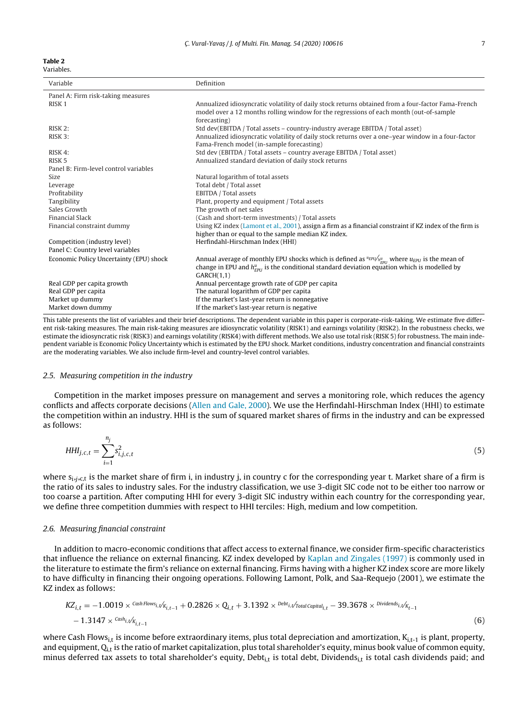<span id="page-6-0"></span>

| Variable                                | Definition                                                                                                                                                                                                   |
|-----------------------------------------|--------------------------------------------------------------------------------------------------------------------------------------------------------------------------------------------------------------|
| Panel A: Firm risk-taking measures      |                                                                                                                                                                                                              |
| RISK <sub>1</sub>                       | Annualized idiosyncratic volatility of daily stock returns obtained from a four-factor Fama-French<br>model over a 12 months rolling window for the regressions of each month (out-of-sample<br>forecasting) |
| RISK 2:                                 | Std dev(EBITDA / Total assets – country-industry average EBITDA / Total asset)                                                                                                                               |
| RISK 3:                                 | Annualized idiosyncratic volatility of daily stock returns over a one-year window in a four-factor<br>Fama-French model (in-sample forecasting)                                                              |
| RISK 4:                                 | Std dev (EBITDA / Total assets - country average EBITDA / Total asset)                                                                                                                                       |
| RISK 5                                  | Annualized standard deviation of daily stock returns                                                                                                                                                         |
| Panel B: Firm-level control variables   |                                                                                                                                                                                                              |
| Size                                    | Natural logarithm of total assets                                                                                                                                                                            |
| Leverage                                | Total debt / Total asset                                                                                                                                                                                     |
| Profitability                           | EBITDA / Total assets                                                                                                                                                                                        |
| Tangibility                             | Plant, property and equipment / Total assets                                                                                                                                                                 |
| Sales Growth                            | The growth of net sales                                                                                                                                                                                      |
| <b>Financial Slack</b>                  | (Cash and short-term investments) / Total assets                                                                                                                                                             |
| Financial constraint dummy              | Using KZ index (Lamont et al., 2001), assign a firm as a financial constraint if KZ index of the firm is                                                                                                     |
|                                         | higher than or equal to the sample median KZ index.                                                                                                                                                          |
| Competition (industry level)            | Herfindahl-Hirschman Index (HHI)                                                                                                                                                                             |
| Panel C: Country level variables        |                                                                                                                                                                                                              |
| Economic Policy Uncertainty (EPU) shock | Annual average of monthly EPU shocks which is defined as $u_{EPU}/h_{EPU}^u$ where $u_{EPU}$ is the mean of                                                                                                  |
|                                         | change in EPU and $h_{EPI}^{\mu}$ is the conditional standard deviation equation which is modelled by<br>GARCH(1,1)                                                                                          |
| Real GDP per capita growth              | Annual percentage growth rate of GDP per capita                                                                                                                                                              |
| Real GDP per capita                     | The natural logarithm of GDP per capita                                                                                                                                                                      |
| Market up dummy                         | If the market's last-year return is nonnegative                                                                                                                                                              |
| Market down dummy                       | If the market's last-year return is negative                                                                                                                                                                 |

This table presents the list of variables and their brief descriptions. The dependent variable in this paper is corporate-risk-taking. We estimate five different risk-taking measures. The main risk-taking measures are idiosyncratic volatility (RISK1) and earnings volatility (RISK2). In the robustness checks, we estimate the idiosyncratic risk (RISK3) and earnings volatility (RISK4) with different methods. We also use total risk (RISK 5) for robustness. The main independent variable is Economic Policy Uncertainty which is estimated by the EPU shock. Market conditions, industry concentration and financial constraints are the moderating variables. We also include firm-level and country-level control variables.

# 2.5. Measuring competition in the industry

Competition in the market imposes pressure on management and serves a monitoring role, which reduces the agency conflicts and affects corporate decisions [\(Allen](#page-19-0) [and](#page-19-0) [Gale,](#page-19-0) [2000\).](#page-19-0) We use the Herfindahl-Hirschman Index (HHI) to estimate the competition within an industry. HHI is the sum of squared market shares of firms in the industry and can be expressed as follows:

$$
HHI_{j,c,t} = \sum_{i=1}^{n_j} s_{i,j,c,t}^2
$$
 (5)

where  $s_{i,j,c,t}$  is the market share of firm i, in industry j, in country c for the corresponding year t. Market share of a firm is the ratio of its sales to industry sales. For the industry classification, we use 3-digit SIC code not to be either too narrow or too coarse a partition. After computing HHI for every 3-digit SIC industry within each country for the corresponding year, we define three competition dummies with respect to HHI terciles: High, medium and low competition.

# 2.6. Measuring financial constraint

In addition to macro-economic conditions that affect access to external finance, we consider firm-specific characteristics that influence the reliance on external financing. KZ index developed by [Kaplan](#page-20-0) [and](#page-20-0) [Zingales](#page-20-0) [\(1997\)](#page-20-0) is commonly used in the literature to estimate the firm's reliance on external financing. Firms having with a higher KZ index score are more likely to have difficulty in financing their ongoing operations. Following Lamont, Polk, and Saa-Requejo (2001), we estimate the KZ index as follows:

$$
KZ_{i,t} = -1.0019 \times {}^{Cash}{}_{i,t} / K_{i,t-1} + 0.2826 \times Q_{i,t} + 3.1392 \times {}^{Debt}{}_{i,t} / T_{total}{}^{Capital}{}_{i,t} - 39.3678 \times {}^{Dividends}{}_{i,t} / K_{t-1} - 1.3147 \times {}^{Cash}{}_{i,t} / K_{i,t-1}
$$
\n(6)

where Cash Flows<sub>i,t</sub> is income before extraordinary items, plus total depreciation and amortization,  $K_{i,t-1}$  is plant, property, and equipment,  $Q_{i,t}$  is the ratio of market capitalization, plus total shareholder's equity, minus book value of common equity, minus deferred tax assets to total shareholder's equity, Debt<sub>i,t</sub> is total debt, Dividends<sub>i,t</sub> is total cash dividends paid; and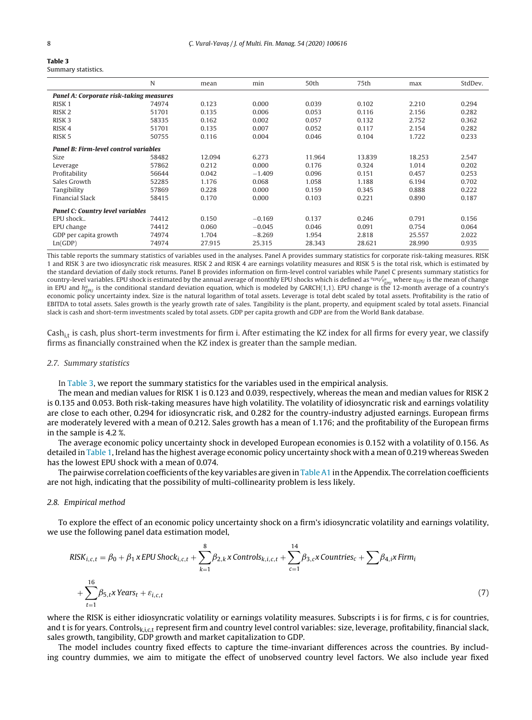<span id="page-7-0"></span>

| Table 3             |  |
|---------------------|--|
| Summary statistics. |  |

|                                              | N     | mean   | min      | 50th   | 75th   | max    | StdDev. |
|----------------------------------------------|-------|--------|----------|--------|--------|--------|---------|
| Panel A: Corporate risk-taking measures      |       |        |          |        |        |        |         |
| RISK <sub>1</sub>                            | 74974 | 0.123  | 0.000    | 0.039  | 0.102  | 2.210  | 0.294   |
| RISK <sub>2</sub>                            | 51701 | 0.135  | 0.006    | 0.053  | 0.116  | 2.156  | 0.282   |
| RISK <sub>3</sub>                            | 58335 | 0.162  | 0.002    | 0.057  | 0.132  | 2.752  | 0.362   |
| RISK <sub>4</sub>                            | 51701 | 0.135  | 0.007    | 0.052  | 0.117  | 2.154  | 0.282   |
| RISK <sub>5</sub>                            | 50755 | 0.116  | 0.004    | 0.046  | 0.104  | 1.722  | 0.233   |
| <b>Panel B: Firm-level control variables</b> |       |        |          |        |        |        |         |
| Size                                         | 58482 | 12.094 | 6.273    | 11.964 | 13.839 | 18.253 | 2.547   |
| Leverage                                     | 57862 | 0.212  | 0.000    | 0.176  | 0.324  | 1.014  | 0.202   |
| Profitability                                | 56644 | 0.042  | $-1.409$ | 0.096  | 0.151  | 0.457  | 0.253   |
| Sales Growth                                 | 52285 | 1.176  | 0.068    | 1.058  | 1.188  | 6.194  | 0.702   |
| Tangibility                                  | 57869 | 0.228  | 0.000    | 0.159  | 0.345  | 0.888  | 0.222   |
| <b>Financial Slack</b>                       | 58415 | 0.170  | 0.000    | 0.103  | 0.221  | 0.890  | 0.187   |
| Panel C: Country level variables             |       |        |          |        |        |        |         |
| EPU shock                                    | 74412 | 0.150  | $-0.169$ | 0.137  | 0.246  | 0.791  | 0.156   |
| EPU change                                   | 74412 | 0.060  | $-0.045$ | 0.046  | 0.091  | 0.754  | 0.064   |
| GDP per capita growth                        | 74974 | 1.704  | $-8.269$ | 1.954  | 2.818  | 25.557 | 2.022   |
| Ln(GDP)                                      | 74974 | 27.915 | 25.315   | 28.343 | 28.621 | 28.990 | 0.935   |

This table reports the summary statistics of variables used in the analyses. Panel A provides summary statistics for corporate risk-taking measures. RISK 1 and RISK 3 are two idiosyncratic risk measures. RISK 2 and RISK 4 are earnings volatility measures and RISK 5 is the total risk, which is estimated by the standard deviation of daily stock returns. Panel B provides information on firm-level control variables while Panel C presents summary statistics for country-level variables. EPU shock is estimated by the annual average of monthly EPU shocks which is defined as  ${}^uF^uV^{\ell}_{P_{E|U}}$  where  $u_{E|U}$  is the mean of change<br>in EPU and  $h_{E|U}^u$  is the conditional standard de economic policy uncertainty index. Size is the natural logarithm of total assets. Leverage is total debt scaled by total assets. Profitability is the ratio of EBITDA to total assets. Sales growth is the yearly growth rate of sales. Tangibility is the plant, property, and equipment scaled by total assets. Financial slack is cash and short-term investments scaled by total assets. GDP per capita growth and GDP are from the World Bank database.

 $Cash_{i,t}$  is cash, plus short-term investments for firm i. After estimating the KZ index for all firms for every year, we classify firms as financially constrained when the KZ index is greater than the sample median.

# 2.7. Summary statistics

In Table 3, we report the summary statistics for the variables used in the empirical analysis.

The mean and median values for RISK 1 is 0.123 and 0.039, respectively, whereas the mean and median values for RISK 2 is 0.135 and 0.053. Both risk-taking measures have high volatility. The volatility of idiosyncratic risk and earnings volatility are close to each other, 0.294 for idiosyncratic risk, and 0.282 for the country-industry adjusted earnings. European firms are moderately levered with a mean of 0.212. Sales growth has a mean of 1.176; and the profitability of the European firms in the sample is 4.2 %.

The average economic policy uncertainty shock in developed European economies is 0.152 with a volatility of 0.156. As detailed in [Table](#page-3-0) 1, Ireland has the highest average economic policy uncertainty shock with a mean of 0.219 whereas Sweden has the lowest EPU shock with a mean of 0.074.

The pairwise correlation coefficients of the key variables are given in [Table](#page-17-0) A1 in the Appendix. The correlation coefficients are not high, indicating that the possibility of multi-collinearity problem is less likely.

# 2.8. Empirical method

To explore the effect of an economic policy uncertainty shock on a firm's idiosyncratic volatility and earnings volatility, we use the following panel data estimation model,

$$
RISK_{i,c,t} = \beta_0 + \beta_1 \times EPU \cdot \text{Shock}_{i,c,t} + \sum_{k=1}^{8} \beta_{2,k} \times \text{Controls}_{k,i,c,t} + \sum_{c=1}^{14} \beta_{3,c} \times \text{Countries}_c + \sum \beta_{4,i} \times \text{Firm}_i
$$
  
+ 
$$
\sum_{t=1}^{16} \beta_{5,t} \times \text{Years}_t + \varepsilon_{i,c,t}
$$
 (7)

where the RISK is either idiosyncratic volatility or earnings volatility measures. Subscripts i is for firms, c is for countries, and t is for years. Controls $_{k,c,t}$  represent firm and country level control variables: size, leverage, profitability, financial slack, sales growth, tangibility, GDP growth and market capitalization to GDP.

The model includes country fixed effects to capture the time-invariant differences across the countries. By including country dummies, we aim to mitigate the effect of unobserved country level factors. We also include year fixed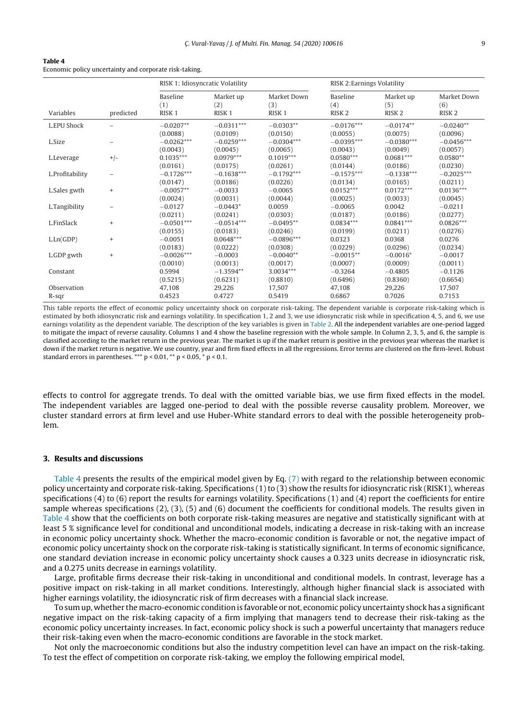<span id="page-8-0"></span>

| Table 4                                                |  |
|--------------------------------------------------------|--|
| Economic policy uncertainty and corporate risk-taking. |  |

|                      |           | RISK 1: Idiosyncratic Volatility     |                                       | RISK 2: Earnings Volatility             |                                      |                                       |                                         |
|----------------------|-----------|--------------------------------------|---------------------------------------|-----------------------------------------|--------------------------------------|---------------------------------------|-----------------------------------------|
| Variables            | predicted | Baseline<br>(1)<br>RISK <sub>1</sub> | Market up<br>(2)<br>RISK <sub>1</sub> | Market Down<br>(3)<br>RISK <sub>1</sub> | Baseline<br>(4)<br>RISK <sub>2</sub> | Market up<br>(5)<br>RISK <sub>2</sub> | Market Down<br>(6)<br>RISK <sub>2</sub> |
| L.EPU Shock          |           | $-0.0207**$<br>(0.0088)              | $-0.0311***$<br>(0.0109)              | $-0.0303**$<br>(0.0150)                 | $-0.0176***$<br>(0.0055)             | $-0.0174**$<br>(0.0075)               | $-0.0240**$<br>(0.0096)                 |
| L.Size               |           | $-0.0262***$<br>(0.0043)             | $-0.0259***$<br>(0.0045)              | $-0.0304***$<br>(0.0065)                | $-0.0395***$<br>(0.0043)             | $-0.0380***$<br>(0.0049)              | $-0.0456***$<br>(0.0057)                |
| L.Leverage           | $+/-$     | $0.1035***$<br>(0.0161)              | $0.0979***$<br>(0.0175)               | $0.1019***$<br>(0.0261)                 | $0.0580***$<br>(0.0144)              | $0.0681***$<br>(0.0186)               | $0.0580**$<br>(0.0230)                  |
| L.Profitability      |           | $-0.1726***$<br>(0.0147)             | $-0.1638***$<br>(0.0186)              | $-0.1792***$<br>(0.0226)                | $-0.1575***$<br>(0.0134)             | $-0.1338***$<br>(0.0165)              | $-0.2025***$<br>(0.0211)                |
| L.Sales gwth         | $^{+}$    | $-0.0057**$<br>(0.0024)              | $-0.0033$<br>(0.0031)                 | $-0.0065$<br>(0.0044)                   | $0.0152***$<br>(0.0025)              | $0.0172***$<br>(0.0033)               | $0.0136***$<br>(0.0045)                 |
| L.Tangibility        |           | $-0.0127$<br>(0.0211)                | $-0.0443*$<br>(0.0241)                | 0.0059<br>(0.0303)                      | $-0.0065$<br>(0.0187)                | 0.0042<br>(0.0186)                    | $-0.0211$<br>(0.0277)                   |
| L.FinSlack           | $^{+}$    | $-0.0501***$<br>(0.0155)             | $-0.0514***$<br>(0.0183)              | $-0.0495**$<br>(0.0246)                 | $0.0834***$<br>(0.0199)              | $0.0841***$<br>(0.0211)               | $0.0826***$<br>(0.0276)                 |
| L.Ln(GDP)            | $^{+}$    | $-0.0051$<br>(0.0183)                | $0.0648***$<br>(0.0222)               | $-0.0896***$<br>(0.0308)                | 0.0323<br>(0.0229)                   | 0.0368<br>(0.0296)                    | 0.0276<br>(0.0234)                      |
| L.GDP gwth           | $\ddot{}$ | $-0.0026***$<br>(0.0010)             | $-0.0003$<br>(0.0013)                 | $-0.0040**$<br>(0.0017)                 | $-0.0015**$<br>(0.0007)              | $-0.0016*$<br>(0.0009)                | $-0.0017$<br>(0.0011)                   |
| Constant             |           | 0.5994<br>(0.5215)                   | $-1.3594**$<br>(0.6231)               | 3.0034***<br>(0.8810)                   | $-0.3264$<br>(0.6496)                | $-0.4805$<br>(0.8360)                 | $-0.1126$<br>(0.6654)                   |
| Observation<br>R-sqr |           | 47,108<br>0.4523                     | 29,226<br>0.4727                      | 17,507<br>0.5419                        | 47,108<br>0.6867                     | 29,226<br>0.7026                      | 17,507<br>0.7153                        |

This table reports the effect of economic policy uncertainty shock on corporate risk-taking. The dependent variable is corporate risk-taking which is estimated by both idiosyncratic risk and earnings volatility. In specification 1, 2 and 3, we use idiosyncratic risk while in specification 4, 5, and 6, we use earnings volatility as the dependent variable. The description of the key variables is given in [Table](#page-6-0) 2. All the independent variables are one-period lagged to mitigate the impact of reverse causality. Columns 1 and 4 show the baseline regression with the whole sample. In Column 2, 3, 5, and 6, the sample is classified according to the market return in the previous year. The market is up if the market return is positive in the previous year whereas the market is down if the market return is negative. We use country, year and firm fixed effects in all the regressions. Error terms are clustered on the firm-level. Robust standard errors in parentheses. \*\*\*  $p < 0.01$ , \*\*  $p < 0.05$ , \*  $p < 0.1$ .

effects to control for aggregate trends. To deal with the omitted variable bias, we use firm fixed effects in the model. The independent variables are lagged one-period to deal with the possible reverse causality problem. Moreover, we cluster standard errors at firm level and use Huber-White standard errors to deal with the possible heterogeneity problem.

#### **3. Results and discussions**

Table 4 presents the results of the empirical model given by Eq. [\(7\)](#page-7-0) with regard to the relationship between economic policy uncertainty and corporate risk-taking. Specifications (1) to (3) show the results for idiosyncratic risk (RISK1), whereas specifications (4) to (6) report the results for earnings volatility. Specifications (1) and (4) report the coefficients for entire sample whereas specifications (2), (3), (5) and (6) document the coefficients for conditional models. The results given in Table 4 show that the coefficients on both corporate risk-taking measures are negative and statistically significant with at least 5 % significance level for conditional and unconditional models, indicating a decrease in risk-taking with an increase in economic policy uncertainty shock. Whether the macro-economic condition is favorable or not, the negative impact of economic policy uncertainty shock on the corporate risk-taking is statistically significant. In terms of economic significance, one standard deviation increase in economic policy uncertainty shock causes a 0.323 units decrease in idiosyncratic risk, and a 0.275 units decrease in earnings volatility.

Large, profitable firms decrease their risk-taking in unconditional and conditional models. In contrast, leverage has a positive impact on risk-taking in all market conditions. Interestingly, although higher financial slack is associated with higher earnings volatility, the idiosyncratic risk of firm decreases with a financial slack increase.

To sum up, whether the macro-economic condition is favorable or not, economic policy uncertainty shock has a significant negative impact on the risk-taking capacity of a firm implying that managers tend to decrease their risk-taking as the economic policy uncertainty increases. In fact, economic policy shock is such a powerful uncertainty that managers reduce their risk-taking even when the macro-economic conditions are favorable in the stock market.

Not only the macroeconomic conditions but also the industry competition level can have an impact on the risk-taking. To test the effect of competition on corporate risk-taking, we employ the following empirical model,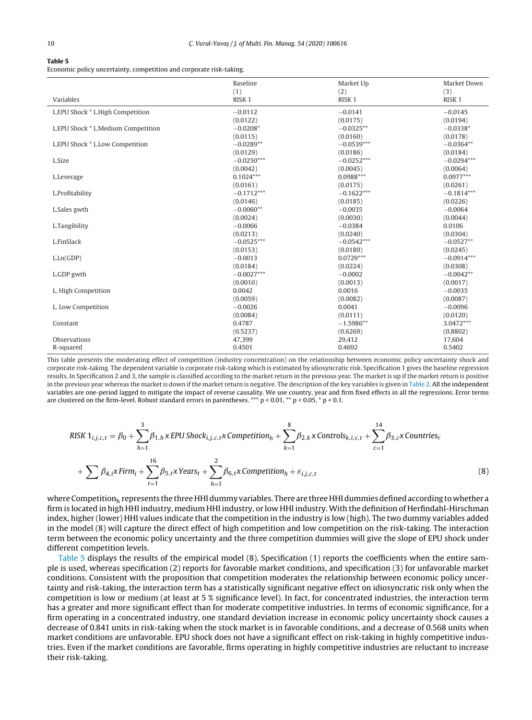<span id="page-9-0"></span>

| Table |  |
|-------|--|
|-------|--|

Economic policy uncertainty, competition and corporate risk-taking.

|                                    | <b>Baseline</b>   | Market Up         | Market Down       |
|------------------------------------|-------------------|-------------------|-------------------|
|                                    | (1)               | (2)               | (3)               |
| Variables                          | RISK <sub>1</sub> | RISK <sub>1</sub> | RISK <sub>1</sub> |
| L.EPU Shock * L.High Competition   | $-0.0112$         | $-0.0141$         | $-0.0145$         |
|                                    | (0.0122)          | (0.0175)          | (0.0194)          |
| L.EPU Shock * L.Medium Competition | $-0.0208*$        | $-0.0325**$       | $-0.0338*$        |
|                                    | (0.0115)          | (0.0160)          | (0.0178)          |
| L.EPU Shock * L.Low Competition    | $-0.0289**$       | $-0.0539***$      | $-0.0364**$       |
|                                    | (0.0129)          | (0.0186)          | (0.0184)          |
| L.Size                             | $-0.0250***$      | $-0.0252***$      | $-0.0294***$      |
|                                    | (0.0042)          | (0.0045)          | (0.0064)          |
| L.Leverage                         | $0.1024***$       | $0.0988***$       | $0.0977***$       |
|                                    | (0.0161)          | (0.0175)          | (0.0261)          |
| L.Profitability                    | $-0.1712***$      | $-0.1622***$      | $-0.1814***$      |
|                                    | (0.0146)          | (0.0185)          | (0.0226)          |
| L.Sales gwth                       | $-0.0060**$       | $-0.0035$         | $-0.0064$         |
|                                    | (0.0024)          | (0.0030)          | (0.0044)          |
| L.Tangibility                      | $-0.0066$         | $-0.0384$         | 0.0106            |
|                                    | (0.0213)          | (0.0240)          | (0.0304)          |
| L.FinSlack                         | $-0.0525***$      | $-0.0542***$      | $-0.0527**$       |
|                                    | (0.0153)          | (0.0180)          | (0.0245)          |
| L.Ln(GDP)                          | $-0.0013$         | $0.0729***$       | $-0.0914***$      |
|                                    | (0.0184)          | (0.0224)          | (0.0308)          |
| L.GDP gwth                         | $-0.0027***$      | $-0.0002$         | $-0.0042**$       |
|                                    | (0.0010)          | (0.0013)          | (0.0017)          |
| L. High Competition                | 0.0042            | 0.0016            | $-0.0035$         |
|                                    | (0.0059)          | (0.0082)          | (0.0087)          |
| L. Low Competition                 | $-0.0026$         | 0.0041            | $-0.0096$         |
|                                    | (0.0084)          | (0.0111)          | (0.0120)          |
| Constant                           | 0.4787            | $-1.5986**$       | $3.0472***$       |
|                                    | (0.5237)          | (0.6269)          | (0.8802)          |
| Observations                       | 47,399            | 29,412            | 17,604            |
| R-squared                          | 0.4501            | 0.4692            | 0.5402            |

This table presents the moderating effect of competition (industry concentration) on the relationship between economic policy uncertainty shock and corporate risk-taking. The dependent variable is corporate risk-taking which is estimated by idiosyncratic risk. Specification 1 gives the baseline regression results. In Specification 2 and 3, the sample is classified according to the market return in the previous year. The market is up if the market return is positive in the previous year whereas the market is down if the market return is negative. The description of the key variables is given in [Table](#page-6-0) 2. All the independent variables are one-period lagged to mitigate the impact of reverse causality. We use country, year and firm fixed effects in all the regressions. Error terms are clustered on the firm-level. Robust standard errors in parentheses. \*\*\* p < 0.01, \*\* p < 0.05, \* p < 0.1.

RISK 
$$
1_{i,j,c,t} = \beta_0 + \sum_{h=1}^3 \beta_{1,h} \times EPU \cdot \text{Shock}_{i,j,c,t} \times \text{Competition}_h + \sum_{k=1}^8 \beta_{2,k} \times \text{Controls}_{k,i,c,t} + \sum_{c=1}^{14} \beta_{3,c} \times \text{Countries}_c + \sum_{h=1}^1 \beta_{4,h} \times \text{Firm}_i + \sum_{t=1}^{16} \beta_{5,t} \times \text{Years}_t + \sum_{h=1}^2 \beta_{6,t} \times \text{Competition}_h + \varepsilon_{i,j,c,t}
$$
 (8)

where Competitionh represents the three HHI dummy variables. There are three HHI dummies defined according to whether a firm is located in high HHI industry, medium HHI industry, or low HHI industry. With the definition of Herfindahl-Hirschman index, higher (lower) HHI values indicate that the competition in the industry is low (high). The two dummy variables added in the model (8) will capture the direct effect of high competition and low competition on the risk-taking. The interaction term between the economic policy uncertainty and the three competition dummies will give the slope of EPU shock under different competition levels.

Table 5 displays the results of the empirical model (8). Specification (1) reports the coefficients when the entire sample is used, whereas specification (2) reports for favorable market conditions, and specification (3) for unfavorable market conditions. Consistent with the proposition that competition moderates the relationship between economic policy uncertainty and risk-taking, the interaction term has a statistically significant negative effect on idiosyncratic risk only when the competition is low or medium (at least at 5 % significance level). In fact, for concentrated industries, the interaction term has a greater and more significant effect than for moderate competitive industries. In terms of economic significance, for a firm operating in a concentrated industry, one standard deviation increase in economic policy uncertainty shock causes a decrease of 0.841 units in risk-taking when the stock market is in favorable conditions, and a decrease of 0.568 units when market conditions are unfavorable. EPU shock does not have a significant effect on risk-taking in highly competitive industries. Even if the market conditions are favorable, firms operating in highly competitive industries are reluctant to increase their risk-taking.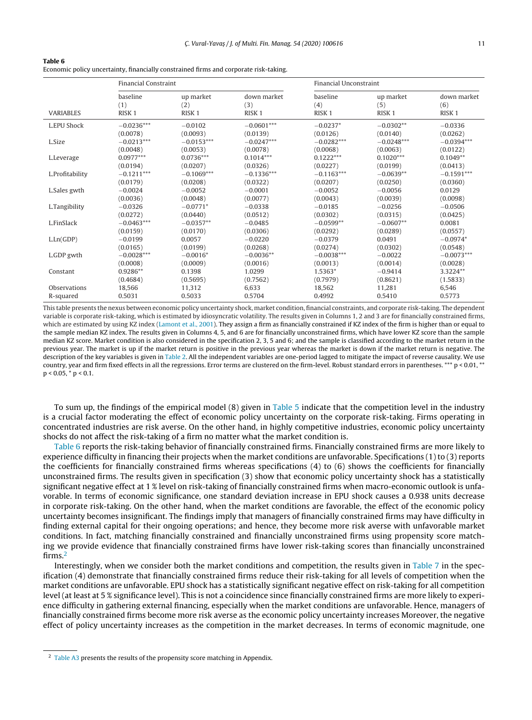| Table 6                                                                               |
|---------------------------------------------------------------------------------------|
| Economic policy uncertainty, financially constrained firms and corporate risk-taking. |

|                  | <b>Financial Constraint</b> |                   |                   | Financial Unconstraint |                   |                   |  |
|------------------|-----------------------------|-------------------|-------------------|------------------------|-------------------|-------------------|--|
| <b>VARIABLES</b> | baseline                    | up market         | down market       | baseline               | up market         | down market       |  |
|                  | (1)                         | (2)               | (3)               | (4)                    | (5)               | (6)               |  |
|                  | RISK <sub>1</sub>           | RISK <sub>1</sub> | RISK <sub>1</sub> | RISK <sub>1</sub>      | RISK <sub>1</sub> | RISK <sub>1</sub> |  |
| L.EPU Shock      | $-0.0236***$                | $-0.0102$         | $-0.0601***$      | $-0.0237*$             | $-0.0302**$       | $-0.0336$         |  |
|                  | (0.0078)                    | (0.0093)          | (0.0139)          | (0.0126)               | (0.0140)          | (0.0262)          |  |
| L.Size           | $-0.0213***$                | $-0.0153***$      | $-0.0247***$      | $-0.0282***$           | $-0.0248***$      | $-0.0394***$      |  |
|                  | (0.0048)                    | (0.0053)          | (0.0078)          | (0.0068)               | (0.0063)          | (0.0122)          |  |
| L.Leverage       | $0.0977***$                 | $0.0736***$       | $0.1014***$       | $0.1222***$            | $0.1020***$       | $0.1049**$        |  |
|                  | (0.0194)                    | (0.0207)          | (0.0326)          | (0.0227)               | (0.0199)          | (0.0413)          |  |
| L.Profitability  | $-0.1211***$                | $-0.1069***$      | $-0.1336***$      | $-0.1163***$           | $-0.0639**$       | $-0.1591***$      |  |
|                  | (0.0179)                    | (0.0208)          | (0.0322)          | (0.0207)               | (0.0250)          | (0.0360)          |  |
| L.Sales gwth     | $-0.0024$                   | $-0.0052$         | $-0.0001$         | $-0.0052$              | $-0.0056$         | 0.0129            |  |
|                  | (0.0036)                    | (0.0048)          | (0.0077)          | (0.0043)               | (0.0039)          | (0.0098)          |  |
| L.Tangibility    | $-0.0326$                   | $-0.0771*$        | $-0.0338$         | $-0.0185$              | $-0.0256$         | $-0.0506$         |  |
|                  | (0.0272)                    | (0.0440)          | (0.0512)          | (0.0302)               | (0.0315)          | (0.0425)          |  |
| L.FinSlack       | $-0.0463***$                | $-0.0357**$       | $-0.0485$         | $-0.0599**$            | $-0.0607**$       | 0.0081            |  |
|                  | (0.0159)                    | (0.0170)          | (0.0306)          | (0.0292)               | (0.0289)          | (0.0557)          |  |
| L.Ln(GDP)        | $-0.0199$                   | 0.0057            | $-0.0220$         | $-0.0379$              | 0.0491            | $-0.0974*$        |  |
|                  | (0.0165)                    | (0.0199)          | (0.0268)          | (0.0274)               | (0.0302)          | (0.0548)          |  |
| L.GDP gwth       | $-0.0028***$                | $-0.0016*$        | $-0.0036**$       | $-0.0038***$           | $-0.0022$         | $-0.0073***$      |  |
|                  | (0.0008)                    | (0.0009)          | (0.0016)          | (0.0013)               | (0.0014)          | (0.0028)          |  |
| Constant         | $0.9286**$                  | 0.1398            | 1.0299            | 1.5363*                | $-0.9414$         | 3.3224**          |  |
|                  | (0.4684)                    | (0.5695)          | (0.7562)          | (0.7979)               | (0.8621)          | (1.5833)          |  |
| Observations     | 18,566                      | 11,312            | 6,633             | 18,562                 | 11,281            | 6,546             |  |
| R-squared        | 0.5031                      | 0.5033            | 0.5704            | 0.4992                 | 0.5410            | 0.5773            |  |

This table presents the nexus between economic policy uncertainty shock, market condition, financial constraints, and corporate risk-taking. The dependent variable is corporate risk-taking, which is estimated by idiosyncratic volatility. The results given in Columns 1, 2 and 3 are for financially constrained firms, which are estimated by using KZ index [\(Lamont](#page-20-0) et [al.,](#page-20-0) [2001\).](#page-20-0) They assign a firm as financially constrained if KZ index of the firm is higher than or equal to the sample median KZ index. The results given in Columns 4, 5, and 6 are for financially unconstrained firms, which have lower KZ score than the sample median KZ score. Market condition is also considered in the specification 2, 3, 5 and 6; and the sample is classified according to the market return in the previous year. The market is up if the market return is positive in the previous year whereas the market is down if the market return is negative. The description of the key variables is given in [Table](#page-6-0) 2. All the independent variables are one-period lagged to mitigate the impact of reverse causality. We use country, year and firm fixed effects in all the regressions. Error terms are clustered on the firm-level. Robust standard errors in parentheses. \*\*\* p < 0.01, \*\*  $p < 0.05$ ,  $p < 0.1$ .

To sum up, the findings of the empirical model (8) given in [Table](#page-9-0) 5 indicate that the competition level in the industry is a crucial factor moderating the effect of economic policy uncertainty on the corporate risk-taking. Firms operating in concentrated industries are risk averse. On the other hand, in highly competitive industries, economic policy uncertainty shocks do not affect the risk-taking of a firm no matter what the market condition is.

Table 6 reports the risk-taking behavior of financially constrained firms. Financially constrained firms are more likely to experience difficulty in financing their projects when the market conditions are unfavorable. Specifications (1) to (3) reports the coefficients for financially constrained firms whereas specifications (4) to (6) shows the coefficients for financially unconstrained firms. The results given in specification (3) show that economic policy uncertainty shock has a statistically significant negative effect at 1 % level on risk-taking of financially constrained firms when macro-economic outlook is unfavorable. In terms of economic significance, one standard deviation increase in EPU shock causes a 0.938 units decrease in corporate risk-taking. On the other hand, when the market conditions are favorable, the effect of the economic policy uncertainty becomes insignificant. The findings imply that managers of financially constrained firms may have difficulty in finding external capital for their ongoing operations; and hence, they become more risk averse with unfavorable market conditions. In fact, matching financially constrained and financially unconstrained firms using propensity score matching we provide evidence that financially constrained firms have lower risk-taking scores than financially unconstrained firms.2

Interestingly, when we consider both the market conditions and competition, the results given in [Table](#page-11-0)  $7$  in the specification (4) demonstrate that financially constrained firms reduce their risk-taking for all levels of competition when the market conditions are unfavorable. EPU shock has a statistically significant negative effect on risk-taking for all competition level (at least at 5 % significance level). This is not a coincidence since financially constrained firms are more likely to experience difficulty in gathering external financing, especially when the market conditions are unfavorable. Hence, managers of financially constrained firms become more risk averse as the economic policy uncertainty increases Moreover, the negative effect of policy uncertainty increases as the competition in the market decreases. In terms of economic magnitude, one

<sup>&</sup>lt;sup>2</sup> [Table](#page-18-0) A3 presents the results of the propensity score matching in Appendix.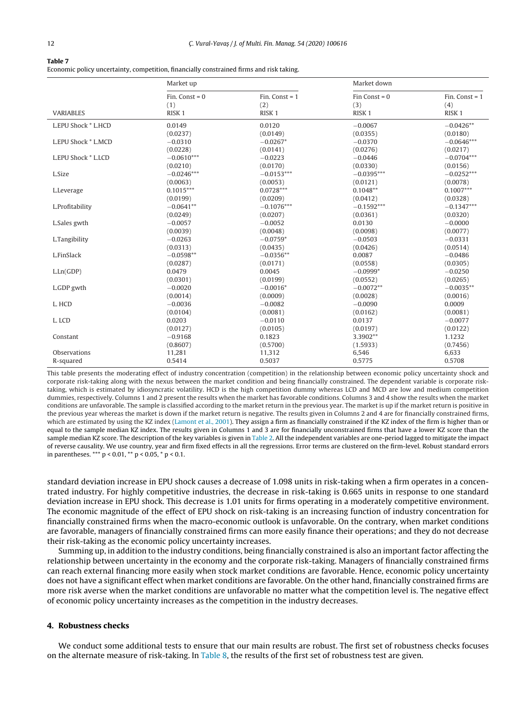#### <span id="page-11-0"></span>**Table 7**

Economic policy uncertainty, competition, financially constrained firms and risk taking.

|                     | Market up         |                   | Market down       |                   |
|---------------------|-------------------|-------------------|-------------------|-------------------|
|                     | Fin. Const = $0$  | Fin. Const = $1$  | $Fin$ Const = 0   | Fin. Const = $1$  |
|                     | (1)               | (2)               | (3)               | (4)               |
| <b>VARIABLES</b>    | RISK <sub>1</sub> | RISK <sub>1</sub> | RISK <sub>1</sub> | RISK <sub>1</sub> |
| L.EPU Shock * L.HCD | 0.0149            | 0.0120            | $-0.0067$         | $-0.0426**$       |
|                     | (0.0237)          | (0.0149)          | (0.0355)          | (0.0180)          |
| L.EPU Shock * L.MCD | $-0.0310$         | $-0.0267*$        | $-0.0370$         | $-0.0646***$      |
|                     | (0.0228)          | (0.0141)          | (0.0276)          | (0.0217)          |
| L.EPU Shock * L.LCD | $-0.0610***$      | $-0.0223$         | $-0.0446$         | $-0.0704***$      |
|                     | (0.0210)          | (0.0170)          | (0.0330)          | (0.0156)          |
| L.Size              | $-0.0246***$      | $-0.0153***$      | $-0.0395***$      | $-0.0252***$      |
|                     | (0.0063)          | (0.0053)          | (0.0121)          | (0.0078)          |
| L.Leverage          | $0.1015***$       | $0.0728***$       | $0.1048**$        | $0.1007***$       |
|                     | (0.0199)          | (0.0209)          | (0.0412)          | (0.0328)          |
| L.Profitability     | $-0.0641**$       | $-0.1076***$      | $-0.1592***$      | $-0.1347***$      |
|                     | (0.0249)          | (0.0207)          | (0.0361)          | (0.0320)          |
| L.Sales gwth        | $-0.0057$         | $-0.0052$         | 0.0130            | $-0.0000$         |
|                     | (0.0039)          | (0.0048)          | (0.0098)          | (0.0077)          |
| L.Tangibility       | $-0.0263$         | $-0.0759*$        | $-0.0503$         | $-0.0331$         |
|                     | (0.0313)          | (0.0435)          | (0.0426)          | (0.0514)          |
| L.FinSlack          | $-0.0598**$       | $-0.0356**$       | 0.0087            | $-0.0486$         |
|                     | (0.0287)          | (0.0171)          | (0.0558)          | (0.0305)          |
| L.Ln(GDP)           | 0.0479            | 0.0045            | $-0.0999*$        | $-0.0250$         |
|                     | (0.0301)          | (0.0199)          | (0.0552)          | (0.0265)          |
| L.GDP gwth          | $-0.0020$         | $-0.0016*$        | $-0.0072**$       | $-0.0035**$       |
|                     | (0.0014)          | (0.0009)          | (0.0028)          | (0.0016)          |
| L. HCD              | $-0.0036$         | $-0.0082$         | $-0.0090$         | 0.0009            |
|                     | (0.0104)          | (0.0081)          | (0.0162)          | (0.0081)          |
| L. LCD              | 0.0203            | $-0.0110$         | 0.0137            | $-0.0077$         |
|                     | (0.0127)          | (0.0105)          | (0.0197)          | (0.0122)          |
| Constant            | $-0.9168$         | 0.1823            | 3.3902**          | 1.1232            |
|                     | (0.8607)          | (0.5700)          | (1.5933)          | (0.7456)          |
| Observations        | 11,281            | 11,312            | 6,546             | 6,633             |
| R-squared           | 0.5414            | 0.5037            | 0.5775            | 0.5708            |

This table presents the moderating effect of industry concentration (competition) in the relationship between economic policy uncertainty shock and corporate risk-taking along with the nexus between the market condition and being financially constrained. The dependent variable is corporate risktaking, which is estimated by idiosyncratic volatility. HCD is the high competition dummy whereas LCD and MCD are low and medium competition dummies, respectively. Columns 1 and 2 present the results when the market has favorable conditions. Columns 3 and 4 show the results when the market conditions are unfavorable. The sample is classified according to the market return in the previous year. The market is up if the market return is positive in the previous year whereas the market is down if the market return is negative. The results given in Columns 2 and 4 are for financially constrained firms, which are estimated by using the KZ index ([Lamont](#page-20-0) et [al.,](#page-20-0) [2001\).](#page-20-0) They assign a firm as financially constrained if the KZ index of the firm is higher than or equal to the sample median KZ index. The results given in Columns 1 and 3 are for financially unconstrained firms that have a lower KZ score than the sample median KZ score. The description of the key variables is given in [Table](#page-6-0) 2. All the independent variables are one-period lagged to mitigate the impact of reverse causality. We use country, year and firm fixed effects in all the regressions. Error terms are clustered on the firm-level. Robust standard errors in parentheses. \*\*\* p < 0.01, \*\* p < 0.05, \* p < 0.1.

standard deviation increase in EPU shock causes a decrease of 1.098 units in risk-taking when a firm operates in a concentrated industry. For highly competitive industries, the decrease in risk-taking is 0.665 units in response to one standard deviation increase in EPU shock. This decrease is 1.01 units for firms operating in a moderately competitive environment. The economic magnitude of the effect of EPU shock on risk-taking is an increasing function of industry concentration for financially constrained firms when the macro-economic outlook is unfavorable. On the contrary, when market conditions are favorable, managers of financially constrained firms can more easily finance their operations; and they do not decrease their risk-taking as the economic policy uncertainty increases.

Summing up, in addition to the industry conditions, being financially constrained is also an important factor affecting the relationship between uncertainty in the economy and the corporate risk-taking. Managers of financially constrained firms can reach external financing more easily when stock market conditions are favorable. Hence, economic policy uncertainty does not have a significant effect when market conditions are favorable. On the other hand, financially constrained firms are more risk averse when the market conditions are unfavorable no matter what the competition level is. The negative effect of economic policy uncertainty increases as the competition in the industry decreases.

# **4. Robustness checks**

We conduct some additional tests to ensure that our main results are robust. The first set of robustness checks focuses on the alternate measure of risk-taking. In [Table](#page-12-0) 8, the results of the first set of robustness test are given.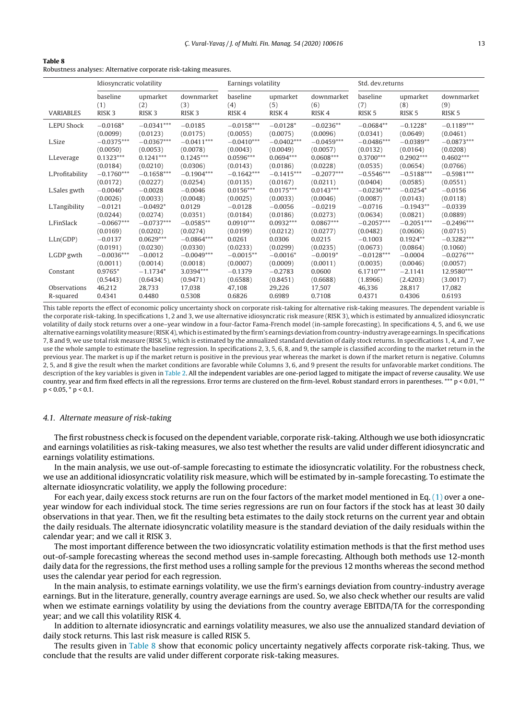<span id="page-12-0"></span>

| $\sim$<br>$\sim$<br>. . |  |
|-------------------------|--|
|-------------------------|--|

Robustness analyses: Alternative corporate risk-taking measures.

|                  | Idiosyncratic volatility |                   | Earnings volatility |                   |                   | Std. dev.returns  |                   |                   |                   |
|------------------|--------------------------|-------------------|---------------------|-------------------|-------------------|-------------------|-------------------|-------------------|-------------------|
| <b>VARIABLES</b> | baseline                 | upmarket          | downmarket          | baseline          | upmarket          | downmarket        | baseline          | upmarket          | downmarket        |
|                  | (1)                      | (2)               | (3)                 | (4)               | (5)               | (6)               | (7)               | (8)               | (9)               |
|                  | RISK <sub>3</sub>        | RISK <sub>3</sub> | RISK <sub>3</sub>   | RISK <sub>4</sub> | RISK <sub>4</sub> | RISK <sub>4</sub> | RISK <sub>5</sub> | RISK <sub>5</sub> | RISK <sub>5</sub> |
| L.EPU Shock      | $-0.0168*$               | $-0.0341***$      | $-0.0185$           | $-0.0158***$      | $-0.0128*$        | $-0.0236**$       | $-0.0684**$       | $-0.1228*$        | $-0.1189***$      |
|                  | (0.0099)                 | (0.0123)          | (0.0175)            | (0.0055)          | (0.0075)          | (0.0096)          | (0.0341)          | (0.0649)          | (0.0461)          |
| L.Size           | $-0.0375***$             | $-0.0367***$      | $-0.0411***$        | $-0.0410***$      | $-0.0402***$      | $-0.0459***$      | $-0.0486***$      | $-0.0389**$       | $-0.0873***$      |
|                  | (0.0050)                 | (0.0053)          | (0.0078)            | (0.0043)          | (0.0049)          | (0.0057)          | (0.0132)          | (0.0164)          | (0.0208)          |
| L.Leverage       | $0.1323***$              | $0.1241***$       | $0.1245***$         | $0.0596***$       | $0.0694***$       | $0.0608***$       | $0.3700***$       | $0.2902***$       | $0.4602***$       |
|                  | (0.0184)                 | (0.0210)          | (0.0306)            | (0.0143)          | (0.0186)          | (0.0228)          | (0.0535)          | (0.0654)          | (0.0766)          |
| L.Profitability  | $-0.1760***$             | $-0.1658***$      | $-0.1904***$        | $-0.1642***$      | $-0.1415***$      | $-0.2077***$      | $-0.5546***$      | $-0.5188***$      | $-0.5981***$      |
|                  | (0.0172)                 | (0.0227)          | (0.0254)            | (0.0135)          | (0.0167)          | (0.0211)          | (0.0404)          | (0.0585)          | (0.0551)          |
| L.Sales gwth     | $-0.0046*$               | $-0.0028$         | $-0.0046$           | $0.0156***$       | $0.0175***$       | $0.0143***$       | $-0.0236***$      | $-0.0254*$        | $-0.0156$         |
|                  | (0.0026)                 | (0.0033)          | (0.0048)            | (0.0025)          | (0.0033)          | (0.0046)          | (0.0087)          | (0.0143)          | (0.0118)          |
| L.Tangibility    | $-0.0121$                | $-0.0492*$        | 0.0129              | $-0.0128$         | $-0.0056$         | $-0.0219$         | $-0.0716$         | $-0.1943**$       | $-0.0339$         |
|                  | (0.0244)                 | (0.0274)          | (0.0351)            | (0.0184)          | (0.0186)          | (0.0273)          | (0.0634)          | (0.0821)          | (0.0889)          |
| L.FinSlack       | $-0.0667***$             | $-0.0737***$      | $-0.0585**$         | $0.0910***$       | $0.0932***$       | $0.0867***$       | $-0.2057***$      | $-0.2051***$      | $-0.2496***$      |
|                  | (0.0169)                 | (0.0202)          | (0.0274)            | (0.0199)          | (0.0212)          | (0.0277)          | (0.0482)          | (0.0606)          | (0.0715)          |
| L.Ln(GDP)        | $-0.0137$                | $0.0629***$       | $-0.0864***$        | 0.0261            | 0.0306            | 0.0215            | $-0.1003$         | $0.1924**$        | $-0.3282***$      |
|                  | (0.0191)                 | (0.0230)          | (0.0330)            | (0.0233)          | (0.0299)          | (0.0235)          | (0.0673)          | (0.0864)          | (0.1060)          |
| L.GDP gwth       | $-0.0036***$             | $-0.0012$         | $-0.0049***$        | $-0.0015**$       | $-0.0016*$        | $-0.0019*$        | $-0.0128***$      | $-0.0004$         | $-0.0276***$      |
| Constant         | (0.0011)                 | (0.0014)          | (0.0018)            | (0.0007)          | (0.0009)          | (0.0011)          | (0.0035)          | (0.0046)          | (0.0057)          |
|                  | $0.9765*$                | $-1.1734*$        | 3.0394***           | $-0.1379$         | $-0.2783$         | 0.0600            | $6.1710***$       | $-2.1141$         | 12.9580***        |
| Observations     | (0.5443)                 | (0.6434)          | (0.9471)            | (0.6588)          | (0.8451)          | (0.6688)          | (1.8966)          | (2.4203)          | (3.0017)          |
|                  | 46,212                   | 28,733            | 17,038              | 47,108            | 29,226            | 17,507            | 46,336            | 28,817            | 17,082            |
| R-squared        | 0.4341                   | 0.4480            | 0.5308              | 0.6826            | 0.6989            | 0.7108            | 0.4371            | 0.4306            | 0.6193            |

This table reports the effect of economic policy uncertainty shock on corporate risk-taking for alternative risk-taking measures. The dependent variable is the corporate risk-taking. In specifications 1, 2 and 3, we use alternative idiosyncratic risk measure (RISK 3), which is estimated by annualized idiosyncratic volatility of daily stock returns over a one–year window in a four-factor Fama-French model (in-sample forecasting). In specifications 4, 5, and 6, we use alternative earnings volatility measure (RISK4), which is estimated by the firm's earnings deviation from country-industry average earnings. In specifications 7, 8 and 9, we use total risk measure (RISK 5), which is estimated by the annualized standard deviation of daily stock returns. In specifications 1, 4, and 7, we use the whole sample to estimate the baseline regression. In specifications 2, 3, 5, 6, 8, and 9, the sample is classified according to the market return in the previous year. The market is up if the market return is positive in the previous year whereas the market is down if the market return is negative. Columns 2, 5, and 8 give the result when the market conditions are favorable while Columns 3, 6, and 9 present the results for unfavorable market conditions. The description of the key variables is given in [Table](#page-6-0) 2. All the independent variables are one-period lagged to mitigate the impact of reverse causality. We use country, year and firm fixed effects in all the regressions. Error terms are clustered on the firm-level. Robust standard errors in parentheses. \*\*\* p < 0.01, \*\*  $p < 0.05$ ,  $p < 0.1$ .

#### 4.1. Alternate measure of risk-taking

The first robustness check is focused on the dependent variable, corporate risk-taking. Although we use both idiosyncratic and earnings volatilities as risk-taking measures, we also test whether the results are valid under different idiosyncratic and earnings volatility estimations.

In the main analysis, we use out-of-sample forecasting to estimate the idiosyncratic volatility. For the robustness check, we use an additional idiosyncratic volatility risk measure, which will be estimated by in-sample forecasting. To estimate the alternate idiosyncratic volatility, we apply the following procedure:

For each year, daily excess stock returns are run on the four factors of the market model mentioned in Eq. [\(1\)](#page-4-0) over a oneyear window for each individual stock. The time series regressions are run on four factors if the stock has at least 30 daily observations in that year. Then, we fit the resulting beta estimates to the daily stock returns on the current year and obtain the daily residuals. The alternate idiosyncratic volatility measure is the standard deviation of the daily residuals within the calendar year; and we call it RISK 3.

The most important difference between the two idiosyncratic volatility estimation methods is that the first method uses out-of-sample forecasting whereas the second method uses in-sample forecasting. Although both methods use 12-month daily data for the regressions, the first method uses a rolling sample for the previous 12 months whereas the second method uses the calendar year period for each regression.

In the main analysis, to estimate earnings volatility, we use the firm's earnings deviation from country-industry average earnings. But in the literature, generally, country average earnings are used. So, we also check whether our results are valid when we estimate earnings volatility by using the deviations from the country average EBITDA/TA for the corresponding year; and we call this volatility RISK 4.

In addition to alternate idiosyncratic and earnings volatility measures, we also use the annualized standard deviation of daily stock returns. This last risk measure is called RISK 5.

The results given in Table 8 show that economic policy uncertainty negatively affects corporate risk-taking. Thus, we conclude that the results are valid under different corporate risk-taking measures.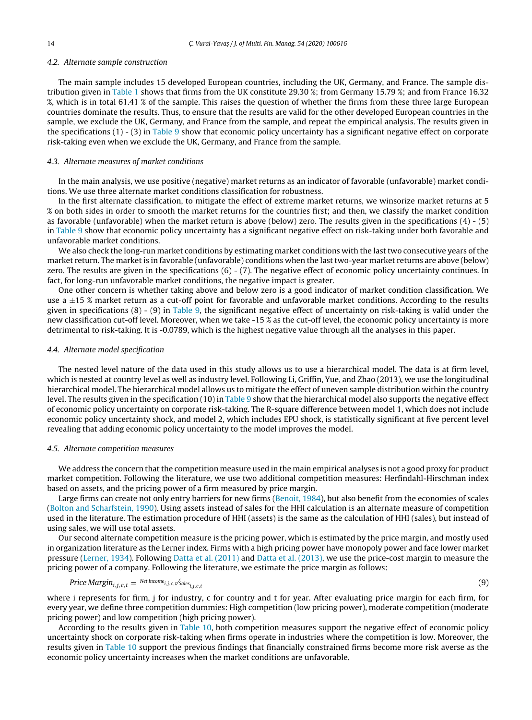# 4.2. Alternate sample construction

The main sample includes 15 developed European countries, including the UK, Germany, and France. The sample distribution given in [Table](#page-3-0) 1 shows that firms from the UK constitute 29.30 %; from Germany 15.79 %; and from France 16.32 %, which is in total 61.41 % of the sample. This raises the question of whether the firms from these three large European countries dominate the results. Thus, to ensure that the results are valid for the other developed European countries in the sample, we exclude the UK, Germany, and France from the sample, and repeat the empirical analysis. The results given in the specifications  $(1)$  -  $(3)$  in [Table](#page-14-0) 9 show that economic policy uncertainty has a significant negative effect on corporate risk-taking even when we exclude the UK, Germany, and France from the sample.

#### 4.3. Alternate measures of market conditions

In the main analysis, we use positive (negative) market returns as an indicator of favorable (unfavorable) market conditions. We use three alternate market conditions classification for robustness.

In the first alternate classification, to mitigate the effect of extreme market returns, we winsorize market returns at 5 % on both sides in order to smooth the market returns for the countries first; and then, we classify the market condition as favorable (unfavorable) when the market return is above (below) zero. The results given in the specifications (4) - (5) in [Table](#page-14-0) 9 show that economic policy uncertainty has a significant negative effect on risk-taking under both favorable and unfavorable market conditions.

We also check the long-run market conditions by estimating market conditions with the last two consecutive years of the market return. The market is in favorable (unfavorable) conditions when the last two-year market returns are above (below) zero. The results are given in the specifications (6) - (7). The negative effect of economic policy uncertainty continues. In fact, for long-run unfavorable market conditions, the negative impact is greater.

One other concern is whether taking above and below zero is a good indicator of market condition classification. We use a  $\pm 15$  % market return as a cut-off point for favorable and unfavorable market conditions. According to the results given in specifications (8) - (9) in [Table](#page-14-0) 9, the significant negative effect of uncertainty on risk-taking is valid under the new classification cut-off level. Moreover, when we take -15 % as the cut-off level, the economic policy uncertainty is more detrimental to risk-taking. It is -0.0789, which is the highest negative value through all the analyses in this paper.

#### 4.4. Alternate model specification

The nested level nature of the data used in this study allows us to use a hierarchical model. The data is at firm level, which is nested at country level as well as industry level. Following Li, Griffin, Yue, and Zhao (2013), we use the longitudinal hierarchical model. The hierarchical model allows us to mitigate the effect of uneven sample distribution within the country level. The results given in the specification (10) in [Table](#page-14-0) 9 show that the hierarchical model also supports the negative effect of economic policy uncertainty on corporate risk-taking. The R-square difference between model 1, which does not include economic policy uncertainty shock, and model 2, which includes EPU shock, is statistically significant at five percent level revealing that adding economic policy uncertainty to the model improves the model.

# 4.5. Alternate competition measures

We address the concern that the competition measure used in the main empirical analyses is not a good proxy for product market competition. Following the literature, we use two additional competition measures: Herfindahl-Hirschman index based on assets, and the pricing power of a firm measured by price margin.

Large firms can create not only entry barriers for new firms [\(Benoit,](#page-19-0) [1984\),](#page-19-0) but also benefit from the economies of scales [\(Bolton](#page-19-0) [and](#page-19-0) [Scharfstein,](#page-19-0) [1990\).](#page-19-0) Using assets instead of sales for the HHI calculation is an alternate measure of competition used in the literature. The estimation procedure of HHI (assets) is the same as the calculation of HHI (sales), but instead of using sales, we will use total assets.

Our second alternate competition measure is the pricing power, which is estimated by the price margin, and mostly used in organization literature as the Lerner index. Firms with a high pricing power have monopoly power and face lower market pressure [\(Lerner,](#page-20-0) [1934\).](#page-20-0) Following [Datta](#page-19-0) et [al.](#page-19-0) [\(2011\)](#page-19-0) and [Datta](#page-19-0) et [al.](#page-19-0) [\(2013\),](#page-19-0) we use the price-cost margin to measure the pricing power of a company. Following the literature, we estimate the price margin as follows:

$$
Price Margin_{i,j,c,t} = \frac{Net Income_{i,j,c,t}}{Sales_{i,j,c,t}} \tag{9}
$$

where i represents for firm, j for industry, c for country and t for year. After evaluating price margin for each firm, for every year, we define three competition dummies: High competition (low pricing power), moderate competition (moderate pricing power) and low competition (high pricing power).

According to the results given in [Table](#page-15-0) 10, both competition measures support the negative effect of economic policy uncertainty shock on corporate risk-taking when firms operate in industries where the competition is low. Moreover, the results given in [Table](#page-15-0) 10 support the previous findings that financially constrained firms become more risk averse as the economic policy uncertainty increases when the market conditions are unfavorable.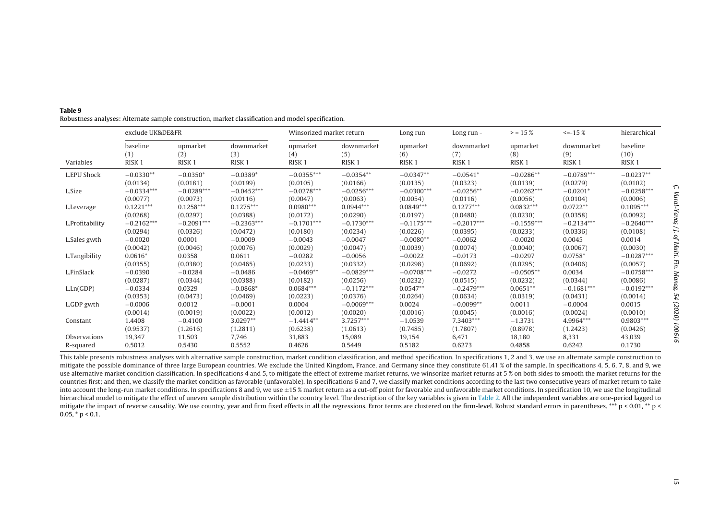|                 | exclude UK&DE&FR  |                   |                   | Winsorized market return |                   | Long run          | Long run -        | $>$ = 15 %        | $\le -15\%$       | hierarchical      |
|-----------------|-------------------|-------------------|-------------------|--------------------------|-------------------|-------------------|-------------------|-------------------|-------------------|-------------------|
| Variables       | baseline          | upmarket          | downmarket        | upmarket                 | downmarket        | upmarket          | downmarket        | upmarket          | downmarket        | baseline          |
|                 | (1)               | (2)               | (3)               | (4)                      | (5)               | (6)               | (7)               | (8)               | (9)               | (10)              |
|                 | RISK <sub>1</sub> | RISK <sub>1</sub> | RISK <sub>1</sub> | RISK <sub>1</sub>        | RISK <sub>1</sub> | RISK <sub>1</sub> | RISK <sub>1</sub> | RISK <sub>1</sub> | RISK <sub>1</sub> | RISK <sub>1</sub> |
| L.EPU Shock     | $-0.0330**$       | $-0.0350*$        | $-0.0389*$        | $-0.0355***$             | $-0.0354**$       | $-0.0347**$       | $-0.0541*$        | $-0.0286**$       | $-0.0789***$      | $-0.0237**$       |
|                 | (0.0134)          | (0.0181)          | (0.0199)          | (0.0105)                 | (0.0166)          | (0.0135)          | (0.0323)          | (0.0139)          | (0.0279)          | (0.0102)          |
| L.Size          | $-0.0334***$      | $-0.0289***$      | $-0.0452***$      | $-0.0278***$             | $-0.0256***$      | $-0.0300***$      | $-0.0256**$       | $-0.0262***$      | $-0.0201*$        | $-0.0258***$      |
|                 | (0.0077)          | (0.0073)          | (0.0116)          | (0.0047)                 | (0.0063)          | (0.0054)          | (0.0116)          | (0.0056)          | (0.0104)          | (0.0006)          |
| L.Leverage      | $0.1221***$       | $0.1258***$       | $0.1275***$       | $0.0980***$              | $0.0944***$       | $0.0849***$       | $0.1277***$       | $0.0832***$       | $0.0722**$        | $0.1095***$       |
|                 | (0.0268)          | (0.0297)          | (0.0388)          | (0.0172)                 | (0.0290)          | (0.0197)          | (0.0480)          | (0.0230)          | (0.0358)          | (0.0092)          |
| L.Profitability | $-0.2162***$      | $-0.2091***$      | $-0.2363***$      | $-0.1701***$             | $-0.1730***$      | $-0.1175***$      | $-0.2017***$      | $-0.1559***$      | $-0.2134***$      | $-0.2640***$      |
|                 | (0.0294)          | (0.0326)          | (0.0472)          | (0.0180)                 | (0.0234)          | (0.0226)          | (0.0395)          | (0.0233)          | (0.0336)          | (0.0108)          |
| L.Sales gwth    | $-0.0020$         | 0.0001            | $-0.0009$         | $-0.0043$                | $-0.0047$         | $-0.0080**$       | $-0.0062$         | $-0.0020$         | 0.0045            | 0.0014            |
|                 | (0.0042)          | (0.0046)          | (0.0076)          | (0.0029)                 | (0.0047)          | (0.0039)          | (0.0074)          | (0.0040)          | (0.0067)          | (0.0030)          |
| L.Tangibility   | $0.0616*$         | 0.0358            | 0.0611            | $-0.0282$                | $-0.0056$         | $-0.0022$         | $-0.0173$         | $-0.0297$         | $0.0758*$         | $-0.0287***$      |
|                 | (0.0355)          | (0.0380)          | (0.0465)          | (0.0233)                 | (0.0332)          | (0.0298)          | (0.0692)          | (0.0295)          | (0.0406)          | (0.0057)          |
| L.FinSlack      | $-0.0390$         | $-0.0284$         | $-0.0486$         | $-0.0469**$              | $-0.0829***$      | $-0.0708***$      | $-0.0272$         | $-0.0505**$       | 0.0034            | $-0.0758***$      |
|                 | (0.0287)          | (0.0344)          | (0.0388)          | (0.0182)                 | (0.0256)          | (0.0232)          | (0.0515)          | (0.0232)          | (0.0344)          | (0.0086)          |
| L.Ln(GDP)       | $-0.0334$         | 0.0329            | $-0.0868*$        | $0.0684***$              | $-0.1172***$      | $0.0547**$        | $-0.2479***$      | $0.0651**$        | $-0.1681***$      | $-0.0192***$      |
|                 | (0.0353)          | (0.0473)          | (0.0469)          | (0.0223)                 | (0.0376)          | (0.0264)          | (0.0634)          | (0.0319)          | (0.0431)          | (0.0014)          |
| L.GDP gwth      | $-0.0006$         | 0.0012            | $-0.0001$         | 0.0004                   | $-0.0069***$      | 0.0024            | $-0.0099**$       | 0.0011            | $-0.0004$         | 0.0015            |
|                 | (0.0014)          | (0.0019)          | (0.0022)          | (0.0012)                 | (0.0020)          | (0.0016)          | (0.0045)          | (0.0016)          | (0.0024)          | (0.0010)          |
| Constant        | 1.4408            | $-0.4100$         | 3.0297**          | $-1.4414**$              | $3.7257***$       | $-1.0539$         | 7.3403***         | $-1.3731$         | 4.9964***         | $0.9803***$       |
|                 | (0.9537)          | (1.2616)          | (1.2811)          | (0.6238)                 | (1.0613)          | (0.7485)          | (1.7807)          | (0.8978)          | (1.2423)          | (0.0426)          |
| Observations    | 19,347            | 11,503            | 7,746             | 31,883                   | 15,089            | 19,154            | 6,471             | 18,180            | 8,331             | 43,039            |
| R-squared       | 0.5012            | 0.5430            | 0.5552            | 0.4626                   | 0.5449            | 0.5182            | 0.6273            | 0.4858            | 0.6242            | 0.1730            |

<span id="page-14-0"></span>**Table 9**Robustness analyses: Alternate sample construction, market classification and model specification.

This table presents robustness analyses with alternative sample construction, market condition classification, and method specification. In specifications 1, 2 and 3, we use an alternate sample construction to mitigate the possible dominance of three large European countries. We exclude the United Kingdom, France, and Germany since they constitute 61.41 % of the sample. In specifications 4, 5, 6, 7, 8, and 9, we use alternative market condition classification. In specifications 4 and 5, to mitigate the effect of extreme market returns, we winsorize market returns at 5 % on both sides to smooth the market returns for the countries first; and then, we classify the market condition as favorable (unfavorable). In specifications 6 and 7, we classify market conditions according to the last two consecutive years of market return to take into account the long-run market conditions. In specifications 8 and 9, we use <sup>±</sup>15 % market return as <sup>a</sup> cut-off point for favorable and unfavorable market conditions. In specification 10, we use the longitudinal hierarchical model to mitigate the effect of uneven sample distribution within the country level. The description of the key variables is given in [Table](#page-6-0) 2. All the independent variables are one-period lagged to mitigate the impact of reverse causality. We use country, year and firm fixed effects in all the regressions. Error terms are clustered on the firm-level. Robust standard errors in parentheses. \*\*\* p < 0.01, \*\* p < 0.01, \*  $0.05$ , \* p < 0.1.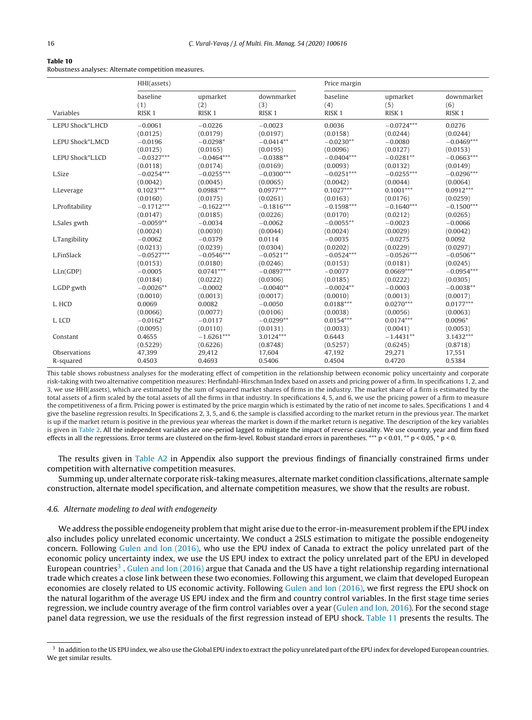#### <span id="page-15-0"></span>**Table 10**

Robustness analyses: Alternate competition measures.

|                   | HHI(assets)                          |                                      |                                        | Price margin                         |                                      |                                        |
|-------------------|--------------------------------------|--------------------------------------|----------------------------------------|--------------------------------------|--------------------------------------|----------------------------------------|
| Variables         | baseline<br>(1)<br>RISK <sub>1</sub> | upmarket<br>(2)<br>RISK <sub>1</sub> | downmarket<br>(3)<br>RISK <sub>1</sub> | baseline<br>(4)<br>RISK <sub>1</sub> | upmarket<br>(5)<br>RISK <sub>1</sub> | downmarket<br>(6)<br>RISK <sub>1</sub> |
| L.EPU Shock*L.HCD | $-0.0061$                            | $-0.0226$                            | $-0.0023$                              | 0.0036                               | $-0.0724***$                         | 0.0276                                 |
|                   | (0.0125)                             | (0.0179)                             | (0.0197)                               | (0.0158)                             | (0.0244)                             | (0.0244)                               |
| L.EPU Shock*L.MCD | $-0.0196$                            | $-0.0298*$                           | $-0.0414**$                            | $-0.0230**$                          | $-0.0080$                            | $-0.0469***$                           |
|                   | (0.0125)                             | (0.0165)                             | (0.0195)                               | (0.0096)                             | (0.0127)                             | (0.0153)                               |
| L.EPU Shock*L.LCD | $-0.0327***$                         | $-0.0464***$                         | $-0.0388**$                            | $-0.0404***$                         | $-0.0281**$                          | $-0.0663***$                           |
|                   | (0.0118)                             | (0.0174)                             | (0.0169)                               | (0.0093)                             | (0.0132)                             | (0.0149)                               |
| L.Size            | $-0.0254***$                         | $-0.0255***$                         | $-0.0300***$                           | $-0.0251***$                         | $-0.0255***$                         | $-0.0296***$                           |
|                   | (0.0042)                             | (0.0045)                             | (0.0065)                               | (0.0042)                             | (0.0044)                             | (0.0064)                               |
| L.Leverage        | $0.1023***$                          | $0.0988***$                          | $0.0977***$                            | $0.1027***$                          | $0.1001***$                          | $0.0912***$                            |
|                   | (0.0160)                             | (0.0175)                             | (0.0261)                               | (0.0163)                             | (0.0176)                             | (0.0259)                               |
| L.Profitability   | $-0.1712***$                         | $-0.1622***$                         | $-0.1816***$                           | $-0.1598***$                         | $-0.1640***$                         | $-0.1500***$                           |
|                   | (0.0147)                             | (0.0185)                             | (0.0226)                               | (0.0170)                             | (0.0212)                             | (0.0265)                               |
| L.Sales gwth      | $-0.0059**$                          | $-0.0034$                            | $-0.0062$                              | $-0.0055**$                          | $-0.0023$                            | $-0.0066$                              |
|                   | (0.0024)                             | (0.0030)                             | (0.0044)                               | (0.0024)                             | (0.0029)                             | (0.0042)                               |
| L.Tangibility     | $-0.0062$                            | $-0.0379$                            | 0.0114                                 | $-0.0035$                            | $-0.0275$                            | 0.0092                                 |
|                   | (0.0213)                             | (0.0239)                             | (0.0304)                               | (0.0202)                             | (0.0229)                             | (0.0297)                               |
| L.FinSlack        | $-0.0527***$                         | $-0.0546***$                         | $-0.0521**$                            | $-0.0524***$                         | $-0.0526***$                         | $-0.0506**$                            |
|                   | (0.0153)                             | (0.0180)                             | (0.0246)                               | (0.0153)                             | (0.0181)                             | (0.0245)                               |
| L.Ln(GDP)         | $-0.0005$                            | $0.0741***$                          | $-0.0897***$                           | $-0.0077$                            | $0.0669***$                          | $-0.0954***$                           |
|                   | (0.0184)                             | (0.0222)                             | (0.0306)                               | (0.0185)                             | (0.0222)                             | (0.0305)                               |
| L.GDP gwth        | $-0.0026**$                          | $-0.0002$                            | $-0.0040**$                            | $-0.0024**$                          | $-0.0003$                            | $-0.0038**$                            |
|                   | (0.0010)                             | (0.0013)                             | (0.0017)                               | (0.0010)                             | (0.0013)                             | (0.0017)                               |
| L. HCD            | 0.0069                               | 0.0082                               | $-0.0050$                              | $0.0188***$                          | $0.0270***$                          | $0.0177***$                            |
|                   | (0.0066)                             | (0.0077)                             | (0.0106)                               | (0.0038)                             | (0.0056)                             | (0.0063)                               |
| L. LCD            | $-0.0162*$                           | $-0.0117$                            | $-0.0299**$                            | $0.0154***$                          | $0.0174***$                          | $0.0096*$                              |
|                   | (0.0095)                             | (0.0110)                             | (0.0131)                               | (0.0033)                             | (0.0041)                             | (0.0053)                               |
| Constant          | 0.4655                               | $-1.6261***$                         | 3.0124***                              | 0.6443                               | $-1.4431**$                          | $3.1432***$                            |
|                   | (0.5229)                             | (0.6226)                             | (0.8748)                               | (0.5257)                             | (0.6245)                             | (0.8718)                               |
| Observations      | 47,399                               | 29,412                               | 17,604                                 | 47,192                               | 29,271                               | 17,551                                 |
| R-squared         | 0.4503                               | 0.4693                               | 0.5406                                 | 0.4504                               | 0.4720                               | 0.5384                                 |

This table shows robustness analyses for the moderating effect of competition in the relationship between economic policy uncertainty and corporate risk-taking with two alternative competition measures: Herfindahl-Hirschman Index based on assets and pricing power of a firm. In specifications 1, 2, and 3, we use HHI(assets), which are estimated by the sum of squared market shares of firms in the industry. The market share of a firm is estimated by the total assets of a firm scaled by the total assets of all the firms in that industry. In specifications 4, 5, and 6, we use the pricing power of a firm to measure the competitiveness of a firm. Pricing power is estimated by the price margin which is estimated by the ratio of net income to sales. Specifications 1 and 4 give the baseline regression results. In Specifications 2, 3, 5, and 6, the sample is classified according to the market return in the previous year. The market is up if the market return is positive in the previous year whereas the market is down if the market return is negative. The description of the key variables is given in [Table](#page-6-0) 2. All the independent variables are one-period lagged to mitigate the impact of reverse causality. We use country, year and firm fixed effects in all the regressions. Error terms are clustered on the firm-level. Robust standard errors in parentheses. \*\*\* p < 0.01, \*\* p < 0.05, \* p < 0.05, \* p < 0.

The results given in [Table](#page-18-0) A2 in Appendix also support the previous findings of financially constrained firms under competition with alternative competition measures.

Summing up, under alternate corporate risk-taking measures, alternate market condition classifications, alternate sample construction, alternate model specification, and alternate competition measures, we show that the results are robust.

# 4.6. Alternate modeling to deal with endogeneity

We address the possible endogeneity problem that might arise due to the error-in-measurement problem ifthe EPU index also includes policy unrelated economic uncertainty. We conduct a 2SLS estimation to mitigate the possible endogeneity concern. Following [Gulen](#page-20-0) [and](#page-20-0) [Ion](#page-20-0) [\(2016\),](#page-20-0) who use the EPU index of Canada to extract the policy unrelated part of the economic policy uncertainty index, we use the US EPU index to extract the policy unrelated part of the EPU in developed European countries<sup>3</sup>. [Gulen](#page-20-0) [and](#page-20-0) [Ion](#page-20-0) [\(2016\)](#page-20-0) argue that Canada and the US have a tight relationship regarding international trade which creates a close link between these two economies. Following this argument, we claim that developed European economies are closely related to US economic activity. Following [Gulen](#page-20-0) [and](#page-20-0) [Ion](#page-20-0) [\(2016\),](#page-20-0) we first regress the EPU shock on the natural logarithm of the average US EPU index and the firm and country control variables. In the first stage time series regression, we include country average of the firm control variables over a year ([Gulen](#page-20-0) [and](#page-20-0) [Ion,](#page-20-0) [2016\).](#page-20-0) For the second stage panel data regression, we use the residuals of the first regression instead of EPU shock. [Table](#page-16-0) 11 presents the results. The

<sup>&</sup>lt;sup>3</sup> In addition to the US EPU index, we also use the Global EPU index to extract the policy unrelated part of the EPU index for developed European countries. We get similar results.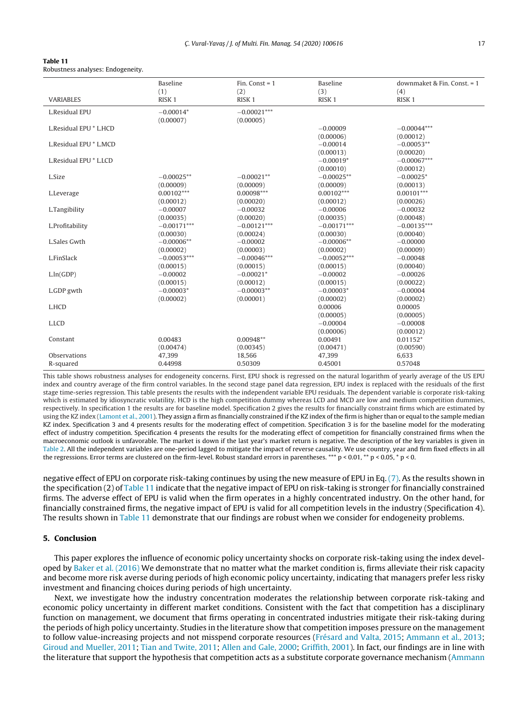<span id="page-16-0"></span>

| Table 11                          |  |
|-----------------------------------|--|
| Robustness analyses: Endogeneity. |  |

|                        | <b>Baseline</b><br>(1) | Fin. Const = $1$<br>(2) | <b>Baseline</b><br>(3) | downmaket & Fin. Const. = 1<br>(4) |
|------------------------|------------------------|-------------------------|------------------------|------------------------------------|
| <b>VARIABLES</b>       | RISK <sub>1</sub>      | RISK <sub>1</sub>       | RISK <sub>1</sub>      | RISK <sub>1</sub>                  |
| L.Residual EPU         | $-0.00014*$            | $-0.00021***$           |                        |                                    |
|                        | (0.00007)              | (0.00005)               |                        |                                    |
| L.Residual EPU * L.HCD |                        |                         | $-0.00009$             | $-0.00044***$                      |
|                        |                        |                         | (0.00006)              | (0.00012)                          |
| L.Residual EPU * L.MCD |                        |                         | $-0.00014$             | $-0.00053**$                       |
|                        |                        |                         | (0.00013)              | (0.00020)                          |
| L.Residual EPU * L.LCD |                        |                         | $-0.00019*$            | $-0.00067***$                      |
|                        |                        |                         | (0.00010)              | (0.00012)                          |
| L.Size                 | $-0.00025**$           | $-0.00021**$            | $-0.00025**$           | $-0.00025*$                        |
|                        | (0.00009)              | (0.00009)               | (0.00009)              | (0.00013)                          |
| L.Leverage             | $0.00102***$           | $0.00098***$            | $0.00102***$           | $0.00101***$                       |
|                        | (0.00012)              | (0.00020)               | (0.00012)              | (0.00026)                          |
| L.Tangibility          | $-0.00007$             | $-0.00032$              | $-0.00006$             | $-0.00032$                         |
|                        | (0.00035)              | (0.00020)               | (0.00035)              | (0.00048)                          |
| L.Profitability        | $-0.00171***$          | $-0.00121***$           | $-0.00171***$          | $-0.00135***$                      |
|                        | (0.00030)              | (0.00024)               | (0.00030)              | (0.00040)                          |
| L.Sales Gwth           | $-0.00006**$           | $-0.00002$              | $-0.00006**$           | $-0.00000$                         |
|                        | (0.00002)              | (0.00003)               | (0.00002)              | (0.00009)                          |
| L.FinSlack             | $-0.00053***$          | $-0.00046***$           | $-0.00052***$          | $-0.00048$                         |
|                        | (0.00015)              | (0.00015)               | (0.00015)              | (0.00040)                          |
| L <sub>1</sub> n(GDP)  | $-0.00002$             | $-0.00021*$             | $-0.00002$             | $-0.00026$                         |
|                        | (0.00015)              | (0.00012)               | (0.00015)              | (0.00022)                          |
| L.GDP gwth             | $-0.00003*$            | $-0.00003**$            | $-0.00003*$            | $-0.00004$                         |
|                        | (0.00002)              | (0.00001)               | (0.00002)              | (0.00002)                          |
| L.HCD                  |                        |                         | 0.00006                | 0.00005                            |
|                        |                        |                         | (0.00005)              | (0.00005)                          |
| L.LCD                  |                        |                         | $-0.00004$             | $-0.00008$                         |
|                        |                        |                         | (0.00006)              | (0.00012)                          |
| Constant               | 0.00483                | $0.00948**$             | 0.00491                | $0.01152*$                         |
|                        | (0.00474)              | (0.00345)               | (0.00471)              | (0.00590)                          |
| Observations           | 47,399                 | 18,566                  | 47,399                 | 6,633                              |
| R-squared              | 0.44998                | 0.50309                 | 0.45001                | 0.57048                            |

This table shows robustness analyses for endogeneity concerns. First, EPU shock is regressed on the natural logarithm of yearly average of the US EPU index and country average of the firm control variables. In the second stage panel data regression, EPU index is replaced with the residuals of the first stage time-series regression. This table presents the results with the independent variable EPU residuals. The dependent variable is corporate risk-taking which is estimated by idiosyncratic volatility. HCD is the high competition dummy whereas LCD and MCD are low and medium competition dummies, respectively. In specification 1 the results are for baseline model. Specification 2 gives the results for financially constraint firms which are estimated by using the KZ index [\(Lamont](#page-20-0) et [al.,](#page-20-0) [2001\).](#page-20-0) They assign a firm as financially constrained if the KZ index of the firm is higher than or equal to the sample median KZ index. Specification 3 and 4 presents results for the moderating effect of competition. Specification 3 is for the baseline model for the moderating effect of industry competition. Specification 4 presents the results for the moderating effect of competition for financially constrained firms when the macroeconomic outlook is unfavorable. The market is down if the last year's market return is negative. The description of the key variables is given in [Table](#page-6-0) 2. All the independent variables are one-period lagged to mitigate the impact of reverse causality. We use country, year and firm fixed effects in all the regressions. Error terms are clustered on the firm-level. Robust standard errors in parentheses. \*\*\*  $p < 0.01$ , \*\*  $p < 0.05$ , \*  $p < 0$ .

negative effect of EPU on corporate risk-taking continues by using the new measure of EPU in Eq. [\(7\).](#page-7-0) As the results shown in the specification (2) of Table 11 indicate that the negative impact of EPU on risk-taking is stronger for financially constrained firms. The adverse effect of EPU is valid when the firm operates in a highly concentrated industry. On the other hand, for financially constrained firms, the negative impact of EPU is valid for all competition levels in the industry (Specification 4). The results shown in Table 11 demonstrate that our findings are robust when we consider for endogeneity problems.

# **5. Conclusion**

This paper explores the influence of economic policy uncertainty shocks on corporate risk-taking using the index developed by [Baker](#page-19-0) et [al.](#page-19-0) [\(2016\)](#page-19-0) We demonstrate that no matter what the market condition is, firms alleviate their risk capacity and become more risk averse during periods of high economic policy uncertainty, indicating that managers prefer less risky investment and financing choices during periods of high uncertainty.

Next, we investigate how the industry concentration moderates the relationship between corporate risk-taking and economic policy uncertainty in different market conditions. Consistent with the fact that competition has a disciplinary function on management, we document that firms operating in concentrated industries mitigate their risk-taking during the periods of high policy uncertainty. Studies in the literature show that competition imposes pressure on the management to follow value-increasing projects and not misspend corporate resources ([Frésard](#page-19-0) [and](#page-19-0) [Valta,](#page-19-0) [2015;](#page-19-0) [Ammann](#page-19-0) et [al.,](#page-19-0) [2013;](#page-19-0) [Giroud](#page-19-0) [and](#page-19-0) [Mueller,](#page-19-0) [2011;](#page-19-0) [Tian](#page-20-0) [and](#page-20-0) [Twite,](#page-20-0) [2011;](#page-20-0) [Allen](#page-19-0) [and](#page-19-0) [Gale,](#page-19-0) [2000;](#page-19-0) [Griffith,](#page-19-0) [2001\).](#page-19-0) In fact, our findings are in line with the literature that support the hypothesis that competition acts as a substitute corporate governance mechanism [\(Ammann](#page-19-0)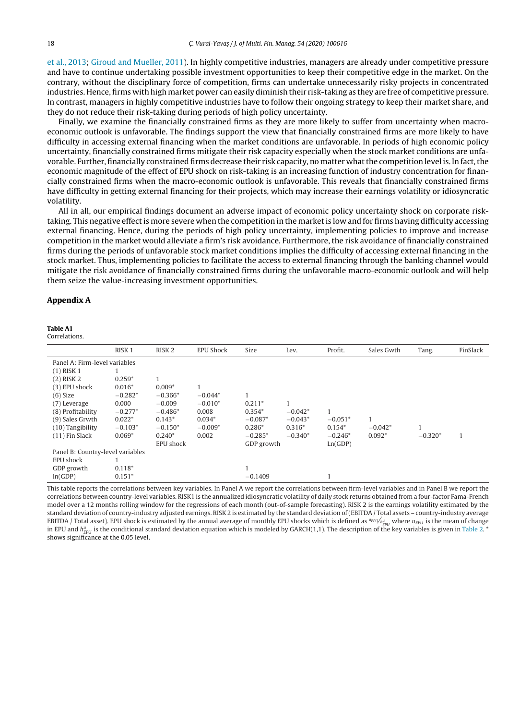<span id="page-17-0"></span>et [al.,](#page-19-0) [2013;](#page-19-0) [Giroud](#page-19-0) [and](#page-19-0) [Mueller,](#page-19-0) [2011\).](#page-19-0) In highly competitive industries, managers are already under competitive pressure and have to continue undertaking possible investment opportunities to keep their competitive edge in the market. On the contrary, without the disciplinary force of competition, firms can undertake unnecessarily risky projects in concentrated industries. Hence, firms with high market power can easily diminish their risk-taking as they are free of competitive pressure. In contrast, managers in highly competitive industries have to follow their ongoing strategy to keep their market share, and they do not reduce their risk-taking during periods of high policy uncertainty.

Finally, we examine the financially constrained firms as they are more likely to suffer from uncertainty when macroeconomic outlook is unfavorable. The findings support the view that financially constrained firms are more likely to have difficulty in accessing external financing when the market conditions are unfavorable. In periods of high economic policy uncertainty, financially constrained firms mitigate their risk capacity especially when the stock market conditions are unfavorable. Further, financially constrained firms decrease their risk capacity, no matter what the competition level is. In fact, the economic magnitude of the effect of EPU shock on risk-taking is an increasing function of industry concentration for financially constrained firms when the macro-economic outlook is unfavorable. This reveals that financially constrained firms have difficulty in getting external financing for their projects, which may increase their earnings volatility or idiosyncratic volatility.

All in all, our empirical findings document an adverse impact of economic policy uncertainty shock on corporate risktaking. This negative effectis more severe when the competition in the marketis low and for firms having difficulty accessing external financing. Hence, during the periods of high policy uncertainty, implementing policies to improve and increase competition in the market would alleviate a firm's risk avoidance. Furthermore, the risk avoidance of financially constrained firms during the periods of unfavorable stock market conditions implies the difficulty of accessing external financing in the stock market. Thus, implementing policies to facilitate the access to external financing through the banking channel would mitigate the risk avoidance of financially constrained firms during the unfavorable macro-economic outlook and will help them seize the value-increasing investment opportunities.

# **Appendix A**

#### **Table A1**

Correlations.

|                                  | RISK <sub>1</sub> | RISK <sub>2</sub> | <b>EPU Shock</b> | Size       | Lev.      | Profit.   | Sales Gwth | Tang.        | FinSlack |
|----------------------------------|-------------------|-------------------|------------------|------------|-----------|-----------|------------|--------------|----------|
| Panel A: Firm-level variables    |                   |                   |                  |            |           |           |            |              |          |
| $(1)$ RISK 1                     |                   |                   |                  |            |           |           |            |              |          |
| $(2)$ RISK 2                     | $0.259*$          |                   |                  |            |           |           |            |              |          |
| (3) EPU shock                    | $0.016*$          | $0.009*$          |                  |            |           |           |            |              |          |
| (6) Size                         | $-0.282*$         | $-0.366*$         | $-0.044*$        |            |           |           |            |              |          |
| (7) Leverage                     | 0.000             | $-0.009$          | $-0.010*$        | $0.211*$   |           |           |            |              |          |
| (8) Profitability                | $-0.277*$         | $-0.486*$         | 0.008            | $0.354*$   | $-0.042*$ |           |            |              |          |
| (9) Sales Grwth                  | $0.022*$          | $0.143*$          | $0.034*$         | $-0.087*$  | $-0.043*$ | $-0.051*$ |            |              |          |
| $(10)$ Tangibility               | $-0.103*$         | $-0.150*$         | $-0.009*$        | $0.286*$   | $0.316*$  | $0.154*$  | $-0.042*$  | $\mathbf{I}$ |          |
| $(11)$ Fin Slack                 | $0.069*$          | $0.240*$          | 0.002            | $-0.285*$  | $-0.340*$ | $-0.246*$ | $0.092*$   | $-0.320*$    | 1        |
|                                  |                   | EPU shock         |                  | GDP growth |           | Ln(GDP)   |            |              |          |
| Panel B: Country-level variables |                   |                   |                  |            |           |           |            |              |          |
| EPU shock                        |                   |                   |                  |            |           |           |            |              |          |
| GDP growth                       | $0.118*$          |                   |                  |            |           |           |            |              |          |
| ln(GDP)                          | $0.151*$          |                   |                  | $-0.1409$  |           |           |            |              |          |

This table reports the correlations between key variables. In Panel A we report the correlations between firm-level variables and in Panel B we report the correlations between country-level variables. RISK1 is the annualized idiosyncratic volatility of daily stock returns obtained from a four-factor Fama-French model over a 12 months rolling window for the regressions of each month (out-of-sample forecasting). RISK 2 is the earnings volatility estimated by the standard deviation of country-industry adjusted earnings. RISK 2 is estimated by the standard deviation of(EBITDA / Total assets – country-industry average EBITDA / Total asset). EPU shock is estimated by the annual average of monthly EPU shocks which is defined as "EPU<sub>ngu</sub> where u<sub>EPU</sub> is the mean of change<br>in EPU and h<sub>EPU</sub> is the conditional standard deviation equation w shows significance at the 0.05 level.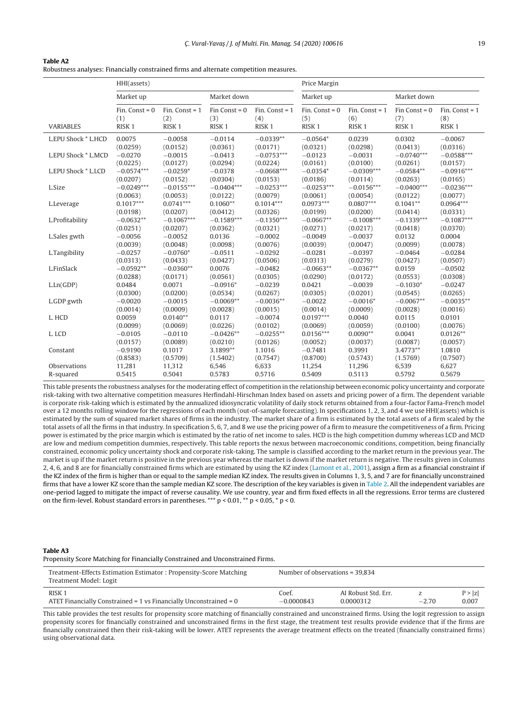<span id="page-18-0"></span>

|--|--|

Robustness analyses: Financially constrained firms and alternate competition measures.

|                     | HHI(assets)                                  |                                              |                                             | Price Margin                                 |                                                |                                              |                                             |                                              |
|---------------------|----------------------------------------------|----------------------------------------------|---------------------------------------------|----------------------------------------------|------------------------------------------------|----------------------------------------------|---------------------------------------------|----------------------------------------------|
|                     | Market up                                    |                                              | Market down                                 |                                              | Market up                                      |                                              | Market down                                 |                                              |
| VARIABLES           | Fin. Const = $0$<br>(1)<br>RISK <sub>1</sub> | Fin. Const = $1$<br>(2)<br>RISK <sub>1</sub> | $Fin$ Const = 0<br>(3)<br>RISK <sub>1</sub> | Fin. Const = $1$<br>(4)<br>RISK <sub>1</sub> | $Fin.$ Const = $0$<br>(5)<br>RISK <sub>1</sub> | Fin. Const = $1$<br>(6)<br>RISK <sub>1</sub> | $Fin$ Const = 0<br>(7)<br>RISK <sub>1</sub> | Fin. Const = $1$<br>(8)<br>RISK <sub>1</sub> |
| L.EPU Shock * L.HCD | 0.0075                                       | $-0.0058$                                    | $-0.0114$                                   | $-0.0339**$                                  | $-0.0564*$                                     | 0.0239                                       | 0.0302                                      | $-0.0067$                                    |
|                     | (0.0259)                                     | (0.0152)                                     | (0.0361)                                    | (0.0171)                                     | (0.0321)                                       | (0.0298)                                     | (0.0413)                                    | (0.0316)                                     |
| L.EPU Shock * L.MCD | $-0.0270$                                    | $-0.0015$                                    | $-0.0413$                                   | $-0.0753***$                                 | $-0.0123$                                      | $-0.0031$                                    | $-0.0740***$                                | $-0.0588***$                                 |
|                     | (0.0225)                                     | (0.0127)                                     | (0.0294)                                    | (0.0224)                                     | (0.0161)                                       | (0.0100)                                     | (0.0261)                                    | (0.0157)                                     |
| L.EPU Shock * L.LCD | $-0.0574***$                                 | $-0.0259*$                                   | $-0.0378$                                   | $-0.0668***$                                 | $-0.0354*$                                     | $-0.0309***$                                 | $-0.0584**$                                 | $-0.0916***$                                 |
|                     | (0.0207)                                     | (0.0152)                                     | (0.0304)                                    | (0.0153)                                     | (0.0186)                                       | (0.0114)                                     | (0.0263)                                    | (0.0165)                                     |
| L.Size              | $-0.0249***$                                 | $-0.0155***$                                 | $-0.0404***$                                | $-0.0253***$                                 | $-0.0253***$                                   | $-0.0156***$                                 | $-0.0400***$                                | $-0.0236***$                                 |
|                     | (0.0063)                                     | (0.0053)                                     | (0.0122)                                    | (0.0079)                                     | (0.0061)                                       | (0.0054)                                     | (0.0122)                                    | (0.0077)                                     |
| L.Leverage          | $0.1017***$                                  | $0.0741***$                                  | $0.1060**$                                  | $0.1014***$                                  | $0.0973***$                                    | $0.0807***$                                  | $0.1041**$                                  | $0.0964***$                                  |
|                     | (0.0198)                                     | (0.0207)                                     | (0.0412)                                    | (0.0326)                                     | (0.0199)                                       | (0.0200)                                     | (0.0414)                                    | (0.0331)                                     |
| L.Profitability     | $-0.0632**$                                  | $-0.1067***$                                 | $-0.1589***$                                | $-0.1350***$                                 | $-0.0667**$                                    | $-0.1008***$                                 | $-0.1339***$                                | $-0.1087***$                                 |
|                     | (0.0251)                                     | (0.0207)                                     | (0.0362)                                    | (0.0321)                                     | (0.0271)                                       | (0.0217)                                     | (0.0418)                                    | (0.0370)                                     |
| L.Sales gwth        | $-0.0056$                                    | $-0.0052$                                    | 0.0136                                      | $-0.0002$                                    | $-0.0049$                                      | $-0.0037$                                    | 0.0132                                      | 0.0004                                       |
|                     | (0.0039)                                     | (0.0048)                                     | (0.0098)                                    | (0.0076)                                     | (0.0039)                                       | (0.0047)                                     | (0.0099)                                    | (0.0078)                                     |
| L.Tangibility       | $-0.0257$                                    | $-0.0760*$                                   | $-0.0511$                                   | $-0.0292$                                    | $-0.0281$                                      | $-0.0397$                                    | $-0.0464$                                   | $-0.0284$                                    |
|                     | (0.0313)                                     | (0.0433)                                     | (0.0427)                                    | (0.0506)                                     | (0.0313)                                       | (0.0279)                                     | (0.0427)                                    | (0.0507)                                     |
| L.FinSlack          | $-0.0592**$                                  | $-0.0360**$                                  | 0.0076                                      | $-0.0482$                                    | $-0.0663**$                                    | $-0.0367**$                                  | 0.0159                                      | $-0.0502$                                    |
|                     | (0.0288)                                     | (0.0171)                                     | (0.0561)                                    | (0.0305)                                     | (0.0290)                                       | (0.0172)                                     | (0.0553)                                    | (0.0308)                                     |
| L.Ln(GDP)           | 0.0484                                       | 0.0071                                       | $-0.0916*$                                  | $-0.0239$                                    | 0.0421                                         | $-0.0039$                                    | $-0.1030*$                                  | $-0.0247$                                    |
|                     | (0.0300)                                     | (0.0200)                                     | (0.0534)                                    | (0.0267)                                     | (0.0305)                                       | (0.0201)                                     | (0.0545)                                    | (0.0265)                                     |
| L.GDP gwth          | $-0.0020$                                    | $-0.0015$                                    | $-0.0069**$                                 | $-0.0036**$                                  | $-0.0022$                                      | $-0.0016*$                                   | $-0.0067**$                                 | $-0.0035**$                                  |
|                     | (0.0014)                                     | (0.0009)                                     | (0.0028)                                    | (0.0015)                                     | (0.0014)                                       | (0.0009)                                     | (0.0028)                                    | (0.0016)                                     |
| L. HCD              | 0.0059                                       | $0.0140**$                                   | 0.0117                                      | $-0.0074$                                    | $0.0197***$                                    | 0.0040                                       | 0.0115                                      | 0.0101                                       |
|                     | (0.0099)                                     | (0.0069)                                     | (0.0226)                                    | (0.0102)                                     | (0.0069)                                       | (0.0059)                                     | (0.0100)                                    | (0.0076)                                     |
| L. LCD              | $-0.0105$                                    | $-0.0110$                                    | $-0.0426**$                                 | $-0.0255**$                                  | $0.0156***$                                    | $0.0090**$                                   | 0.0041                                      | $0.0126**$                                   |
|                     | (0.0157)                                     | (0.0089)                                     | (0.0210)                                    | (0.0126)                                     | (0.0052)                                       | (0.0037)                                     | (0.0087)                                    | (0.0057)                                     |
| Constant            | $-0.9190$                                    | 0.1017                                       | 3.1899**                                    | 1.1016                                       | $-0.7481$                                      | 0.3991                                       | 3.4773**                                    | 1.0810                                       |
|                     | (0.8583)                                     | (0.5709)                                     | (1.5402)                                    | (0.7547)                                     | (0.8700)                                       | (0.5743)                                     | (1.5769)                                    | (0.7507)                                     |
| Observations        | 11,281                                       | 11,312                                       | 6,546                                       | 6,633                                        | 11,254                                         | 11,296                                       | 6,539                                       | 6,627                                        |
| R-squared           | 0.5415                                       | 0.5041                                       | 0.5783                                      | 0.5716                                       | 0.5409                                         | 0.5113                                       | 0.5792                                      | 0.5679                                       |

This table presents the robustness analyses for the moderating effect of competition in the relationship between economic policy uncertainty and corporate risk-taking with two alternative competition measures Herfindahl-Hirschman Index based on assets and pricing power of a firm. The dependent variable is corporate risk-taking which is estimated by the annualized idiosyncratic volatility of daily stock returns obtained from a four-factor Fama-French model over a 12 months rolling window for the regressions of each month (out-of-sample forecasting). In specifications 1, 2, 3, and 4 we use HHI(assets) which is estimated by the sum of squared market shares of firms in the industry. The market share of a firm is estimated by the total assets of a firm scaled by the total assets of all the firms in that industry. In specification 5, 6, 7, and 8 we use the pricing power of a firm to measure the competitiveness of a firm. Pricing power is estimated by the price margin which is estimated by the ratio of net income to sales. HCD is the high competition dummy whereas LCD and MCD are low and medium competition dummies, respectively. This table reports the nexus between macroeconomic conditions, competition, being financially constrained, economic policy uncertainty shock and corporate risk-taking. The sample is classified according to the market return in the previous year. The market is up if the market return is positive in the previous year whereas the market is down if the market return is negative. The results given in Columns 2, 4, 6, and 8 are for financially constrained firms which are estimated by using the KZ index [\(Lamont](#page-20-0) et [al.,](#page-20-0) [2001\),](#page-20-0) assign a firm as a financial constraint if the KZ index of the firm is higher than or equal to the sample median KZ index. The results given in Columns 1, 3, 5, and 7 are for financially unconstrained firms that have a lower KZ score than the sample median KZ score. The description of the key variables is given in [Table](#page-6-0) 2. All the independent variables are one-period lagged to mitigate the impact of reverse causality. We use country, year and firm fixed effects in all the regressions. Error terms are clustered on the firm-level. Robust standard errors in parentheses. \*\*\*  $p < 0.01$ , \*\*  $p < 0.05$ , \*  $p < 0$ .

### **Table A3**

Propensity Score Matching for Financially Constrained and Unconstrained Firms.

| Treatment-Effects Estimation Estimator: Propensity-Score Matching<br>Treatment Model: Logit | Number of observations $=$ 39.834 |                     |         |        |  |
|---------------------------------------------------------------------------------------------|-----------------------------------|---------------------|---------|--------|--|
| RISK <sub>1</sub>                                                                           | Coef.                             | AI Robust Std. Err. | $-2.70$ | P >  z |  |
| ATET Financially Constrained = $1$ vs Financially Unconstrained = $0$                       | $-0.0000843$                      | 0.0000312           |         | 0.007  |  |

This table provides the test results for propensity score matching of financially constrained and unconstrained firms. Using the logit regression to assign propensity scores for financially constrained and unconstrained firms in the first stage, the treatment test results provide evidence that if the firms are financially constrained then their risk-taking will be lower. ATET represents the average treatment effects on the treated (financially constrained firms) using observational data.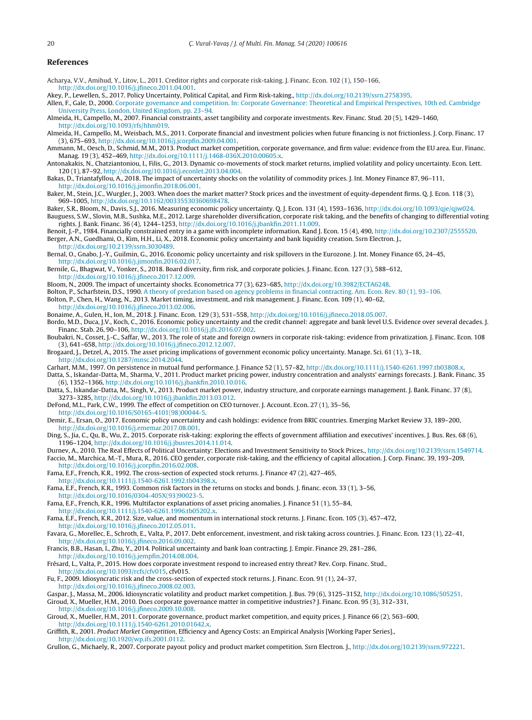# <span id="page-19-0"></span>**References**

- Acharya, V.V., Amihud, Y., Litov, L., 2011. Creditor rights and corporate risk-taking. J. Financ. Econ. 102 (1), 150–166,
	- [http://dx.doi.org/10.1016/j.jfineco.2011.04.001](dx.doi.org/10.1016/j.jfineco.2011.04.001).
- Akey, P., Lewellen, S., 2017. Policy Uncertainty, Political Capital, and Firm Risk-taking., [http://dx.doi.org/10.2139/ssrn.2758395.](dx.doi.org/10.2139/ssrn.2758395)

Allen, F., Gale, D., 2000. [Corporate](http://refhub.elsevier.com/S1042-444X(20)30005-0/sbref0015) [governance](http://refhub.elsevier.com/S1042-444X(20)30005-0/sbref0015) [and](http://refhub.elsevier.com/S1042-444X(20)30005-0/sbref0015) [competition.](http://refhub.elsevier.com/S1042-444X(20)30005-0/sbref0015) [In:](http://refhub.elsevier.com/S1042-444X(20)30005-0/sbref0015) [Corporate](http://refhub.elsevier.com/S1042-444X(20)30005-0/sbref0015) [Governance:](http://refhub.elsevier.com/S1042-444X(20)30005-0/sbref0015) [Theoretical](http://refhub.elsevier.com/S1042-444X(20)30005-0/sbref0015) [and](http://refhub.elsevier.com/S1042-444X(20)30005-0/sbref0015) [Empirical](http://refhub.elsevier.com/S1042-444X(20)30005-0/sbref0015) [Perspectives,](http://refhub.elsevier.com/S1042-444X(20)30005-0/sbref0015) [10th](http://refhub.elsevier.com/S1042-444X(20)30005-0/sbref0015) [ed.](http://refhub.elsevier.com/S1042-444X(20)30005-0/sbref0015) [Cambridge](http://refhub.elsevier.com/S1042-444X(20)30005-0/sbref0015) [University](http://refhub.elsevier.com/S1042-444X(20)30005-0/sbref0015) [Press,](http://refhub.elsevier.com/S1042-444X(20)30005-0/sbref0015) [London,](http://refhub.elsevier.com/S1042-444X(20)30005-0/sbref0015) [United](http://refhub.elsevier.com/S1042-444X(20)30005-0/sbref0015) [Kingdom,](http://refhub.elsevier.com/S1042-444X(20)30005-0/sbref0015) [pp.](http://refhub.elsevier.com/S1042-444X(20)30005-0/sbref0015) [23](http://refhub.elsevier.com/S1042-444X(20)30005-0/sbref0015)–[94.](http://refhub.elsevier.com/S1042-444X(20)30005-0/sbref0015)

- Almeida, H., Campello, M., 2007. Financial constraints, asset tangibility and corporate investments. Rev. Financ. Stud. 20 (5), 1429–1460, [http://dx.doi.org/10.1093/rfs/hhm019.](dx.doi.org/10.1093/rfs/hhm019)
- Almeida, H., Campello, M., Weisbach, M.S., 2011. Corporate financial and investment policies when future financing is not frictionless. J. Corp. Financ. 17 (3), 675–693, [http://dx.doi.org/10.1016/j.jcorpfin.2009.04.001](dx.doi.org/10.1016/j.jcorpfin.2009.04.001).
- Ammann, M., Oesch, D., Schmid, M.M., 2013. Product market competition, corporate governance, and firm value: evidence from the EU area. Eur. Financ. Manag. 19 (3), 452–469, [http://dx.doi.org/10.1111/j.1468-036X.2010.00605.x.](dx.doi.org/10.1111/j.1468-036X.2010.00605.x)
- Antonakakis, N., Chatziantoniou, I., Filis, G., 2013. Dynamic co-movements of stock market returns, implied volatility and policy uncertainty. Econ. Lett. 120 (1), 87–92, [http://dx.doi.org/10.1016/j.econlet.2013.04.004.](dx.doi.org/10.1016/j.econlet.2013.04.004)
- Bakas, D., Triantafyllou, A., 2018. The impact of uncertainty shocks on the volatility of commodity prices. J. Int. Money Finance 87, 96–111, [http://dx.doi.org/10.1016/j.jimonfin.2018.06.001.](dx.doi.org/10.1016/j.jimonfin.2018.06.001)
- Baker, M., Stein, J.C., Wurgler, J., 2003. When does the market matter? Stock prices and the investment of equity-dependent firms. Q. J. Econ. 118 (3), 969–1005, [http://dx.doi.org/10.1162/00335530360698478.](dx.doi.org/10.1162/00335530360698478)
- Baker, S.R., Bloom, N., Davis, S.J., 2016. Measuring economic policy uncertainty. Q. J. Econ. 131 (4), 1593–1636, [http://dx.doi.org/10.1093/qje/qjw024](dx.doi.org/10.1093/qje/qjw024). Bauguess, S.W., Slovin, M.B., Sushka, M.E., 2012. Large shareholder diversification, corporate risk taking, and the benefits of changing to differential voting rights. J. Bank. Financ. 36 (4), 1244–1253, [http://dx.doi.org/10.1016/j.jbankfin.2011.11.009.](dx.doi.org/10.1016/j.jbankfin.2011.11.009)
- Benoit, J.-P., 1984. Financially constrained entry in a game with incomplete information. Rand J. Econ. 15 (4), 490, [http://dx.doi.org/10.2307/2555520.](dx.doi.org/10.2307/2555520) Berger, A.N., Guedhami, O., Kim, H.H., Li, X., 2018. Economic policy uncertainty and bank liquidity creation. Ssrn Electron. J., [http://dx.doi.org/10.2139/ssrn.3030489.](dx.doi.org/10.2139/ssrn.3030489)
- Bernal, O., Gnabo, J.-Y., Guilmin, G., 2016. Economic policy uncertainty and risk spillovers in the Eurozone. J. Int. Money Finance 65, 24–45, [http://dx.doi.org/10.1016/j.jimonfin.2016.02.017.](dx.doi.org/10.1016/j.jimonfin.2016.02.017)
- Bernile, G., Bhagwat, V., Yonker, S., 2018. Board diversity, firm risk, and corporate policies. J. Financ. Econ. 127 (3), 588–612,
- [http://dx.doi.org/10.1016/j.jfineco.2017.12.009](dx.doi.org/10.1016/j.jfineco.2017.12.009).
- Bloom, N., 2009. The impact of uncertainty shocks. Econometrica 77 (3), 623–685, [http://dx.doi.org/10.3982/ECTA6248](dx.doi.org/10.3982/ECTA6248).
- Bolton, P., Scharfstein, D.S., 1990. [A](http://refhub.elsevier.com/S1042-444X(20)30005-0/sbref0085) [theory](http://refhub.elsevier.com/S1042-444X(20)30005-0/sbref0085) [of](http://refhub.elsevier.com/S1042-444X(20)30005-0/sbref0085) [predation](http://refhub.elsevier.com/S1042-444X(20)30005-0/sbref0085) [based](http://refhub.elsevier.com/S1042-444X(20)30005-0/sbref0085) [on](http://refhub.elsevier.com/S1042-444X(20)30005-0/sbref0085) [agency](http://refhub.elsevier.com/S1042-444X(20)30005-0/sbref0085) [problems](http://refhub.elsevier.com/S1042-444X(20)30005-0/sbref0085) [in](http://refhub.elsevier.com/S1042-444X(20)30005-0/sbref0085) [financial](http://refhub.elsevier.com/S1042-444X(20)30005-0/sbref0085) [contracting.](http://refhub.elsevier.com/S1042-444X(20)30005-0/sbref0085) [Am.](http://refhub.elsevier.com/S1042-444X(20)30005-0/sbref0085) [Econ.](http://refhub.elsevier.com/S1042-444X(20)30005-0/sbref0085) [Rev.](http://refhub.elsevier.com/S1042-444X(20)30005-0/sbref0085) [80](http://refhub.elsevier.com/S1042-444X(20)30005-0/sbref0085) [\(1\),](http://refhub.elsevier.com/S1042-444X(20)30005-0/sbref0085) [93–106.](http://refhub.elsevier.com/S1042-444X(20)30005-0/sbref0085) Bolton, P., Chen, H., Wang, N., 2013. Market timing, investment, and risk management. J. Financ. Econ. 109 (1), 40–62,
- [http://dx.doi.org/10.1016/j.jfineco.2013.02.006](dx.doi.org/10.1016/j.jfineco.2013.02.006).
- Bonaime, A., Gulen, H., Ion, M., 2018. J. Financ. Econ. 129 (3), 531–558, [http://dx.doi.org/10.1016/j.jfineco.2018.05.007.](dx.doi.org/10.1016/j.jfineco.2018.05.007)
- Bordo, M.D., Duca, J.V., Koch, C., 2016. Economic policy uncertainty and the credit channel: aggregate and bank level U.S. Evidence over several decades. J. Financ. Stab. 26, 90–106, [http://dx.doi.org/10.1016/j.jfs.2016.07.002.](dx.doi.org/10.1016/j.jfs.2016.07.002)
- Boubakri, N., Cosset, J.-C., Saffar, W., 2013. The role of state and foreign owners in corporate risk-taking: evidence from privatization. J. Financ. Econ. 108 (3), 641–658, [http://dx.doi.org/10.1016/j.jfineco.2012.12.007](dx.doi.org/10.1016/j.jfineco.2012.12.007).
- Brogaard, J., Detzel, A., 2015. The asset pricing implications of government economic policy uncertainty. Manage. Sci. 61 (1), 3–18,
- [http://dx.doi.org/10.1287/mnsc.2014.2044.](dx.doi.org/10.1287/mnsc.2014.2044)
- Carhart, M.M., 1997. On persistence in mutual fund performance. J. Finance 52 (1), 57–82, [http://dx.doi.org/10.1111/j.1540-6261.1997.tb03808.x.](dx.doi.org/10.1111/j.1540-6261.1997.tb03808.x)
- Datta, S., Iskandar-Datta, M., Sharma, V., 2011. Product market pricing power, industry concentration and analysts' earnings forecasts. J. Bank. Financ. 35 (6), 1352–1366, [http://dx.doi.org/10.1016/j.jbankfin.2010.10.016](dx.doi.org/10.1016/j.jbankfin.2010.10.016).
- Datta, S., Iskandar-Datta, M., Singh, V., 2013. Product market power, industry structure, and corporate earnings management. J. Bank. Financ. 37 (8), 3273–3285, [http://dx.doi.org/10.1016/j.jbankfin.2013.03.012.](dx.doi.org/10.1016/j.jbankfin.2013.03.012)
- DeFond, M.L., Park, C.W., 1999. The effect of competition on CEO turnover. J. Account. Econ. 27 (1), 35–56,
- [http://dx.doi.org/10.1016/S0165-4101\(98\)00044-5](dx.doi.org/10.1016/S0165-4101(98)00044-5).
- Demir, E., Ersan, O., 2017. Economic policy uncertainty and cash holdings: evidence from BRIC countries. Emerging Market Review 33, 189–200, [http://dx.doi.org/10.1016/j.ememar.2017.08.001](dx.doi.org/10.1016/j.ememar.2017.08.001).
- Ding, S., Jia, C., Qu, B., Wu, Z., 2015. Corporate risk-taking: exploring the effects of government affiliation and executives' incentives. J. Bus. Res. 68 (6), 1196–1204, [http://dx.doi.org/10.1016/j.jbusres.2014.11.014](dx.doi.org/10.1016/j.jbusres.2014.11.014).
- Durnev, A., 2010. The Real Effects of Political Uncertainty: Elections and Investment Sensitivity to Stock Prices., [http://dx.doi.org/10.2139/ssrn.1549714](dx.doi.org/10.2139/ssrn.1549714).
- Faccio, M., Marchica, M.-T., Mura, R., 2016. CEO gender, corporate risk-taking, and the efficiency of capital allocation. J. Corp. Financ. 39, 193–209, [http://dx.doi.org/10.1016/j.jcorpfin.2016.02.008](dx.doi.org/10.1016/j.jcorpfin.2016.02.008).
- Fama, E.F., French, K.R., 1992. The cross-section of expected stock returns. J. Finance 47 (2), 427–465,
- [http://dx.doi.org/10.1111/j.1540-6261.1992.tb04398.x](dx.doi.org/10.1111/j.1540-6261.1992.tb04398.x).
- Fama, E.F., French, K.R., 1993. Common risk factors in the returns on stocks and bonds. J. financ. econ. 33 (1), 3–56, [http://dx.doi.org/10.1016/0304-405X\(93\)90023-5](dx.doi.org/10.1016/0304-405X(93)90023-5).
- Fama, E.F., French, K.R., 1996. Multifactor explanations of asset pricing anomalies. J. Finance 51 (1), 55–84, [http://dx.doi.org/10.1111/j.1540-6261.1996.tb05202.x](dx.doi.org/10.1111/j.1540-6261.1996.tb05202.x).
- Fama, E.F., French, K.R., 2012. Size, value, and momentum in international stock returns. J. Financ. Econ. 105 (3), 457–472,
- [http://dx.doi.org/10.1016/j.jfineco.2012.05.011](dx.doi.org/10.1016/j.jfineco.2012.05.011).
- Favara, G., Morellec, E., Schroth, E., Valta, P., 2017. Debt enforcement, investment, and risk taking across countries. J. Financ. Econ. 123 (1), 22–41, [http://dx.doi.org/10.1016/j.jfineco.2016.09.002](dx.doi.org/10.1016/j.jfineco.2016.09.002).
- Francis, B.B., Hasan, I., Zhu, Y., 2014. Political uncertainty and bank loan contracting. J. Empir. Finance 29, 281–286,
- [http://dx.doi.org/10.1016/j.jempfin.2014.08.004](dx.doi.org/10.1016/j.jempfin.2014.08.004).
- Frésard, L., Valta, P., 2015. How does corporate investment respond to increased entry threat? Rev. Corp. Financ. Stud.,
- [http://dx.doi.org/10.1093/rcfs/cfv015,](dx.doi.org/10.1093/rcfs/cfv015) cfv015.
- Fu, F., 2009. Idiosyncratic risk and the cross-section of expected stock returns. J. Financ. Econ. 91 (1), 24–37,
- [http://dx.doi.org/10.1016/j.jfineco.2008.02.003](dx.doi.org/10.1016/j.jfineco.2008.02.003).
- Gaspar, J., Massa, M., 2006. Idiosyncratic volatility and product market competition. J. Bus. 79 (6), 3125-3152, [http://dx.doi.org/10.1086/505251](dx.doi.org/10.1086/505251). Giroud, X., Mueller, H.M., 2010. Does corporate governance matter in competitive industries? J. Financ. Econ. 95 (3), 312–331,
- [http://dx.doi.org/10.1016/j.jfineco.2009.10.008](dx.doi.org/10.1016/j.jfineco.2009.10.008).
- Giroud, X., Mueller, H.M., 2011. Corporate governance, product market competition, and equity prices. J. Finance 66 (2), 563–600, [http://dx.doi.org/10.1111/j.1540-6261.2010.01642.x.](dx.doi.org/10.1111/j.1540-6261.2010.01642.x)
- Griffith, R., 2001. Product Market Competition, Efficiency and Agency Costs: an Empirical Analysis [Working Paper Series]., [http://dx.doi.org/10.1920/wp.ifs.2001.0112](dx.doi.org/10.1920/wp.ifs.2001.0112).
- Grullon, G., Michaely, R., 2007. Corporate payout policy and product market competition. Ssrn Electron. J., [http://dx.doi.org/10.2139/ssrn.972221.](dx.doi.org/10.2139/ssrn.972221)